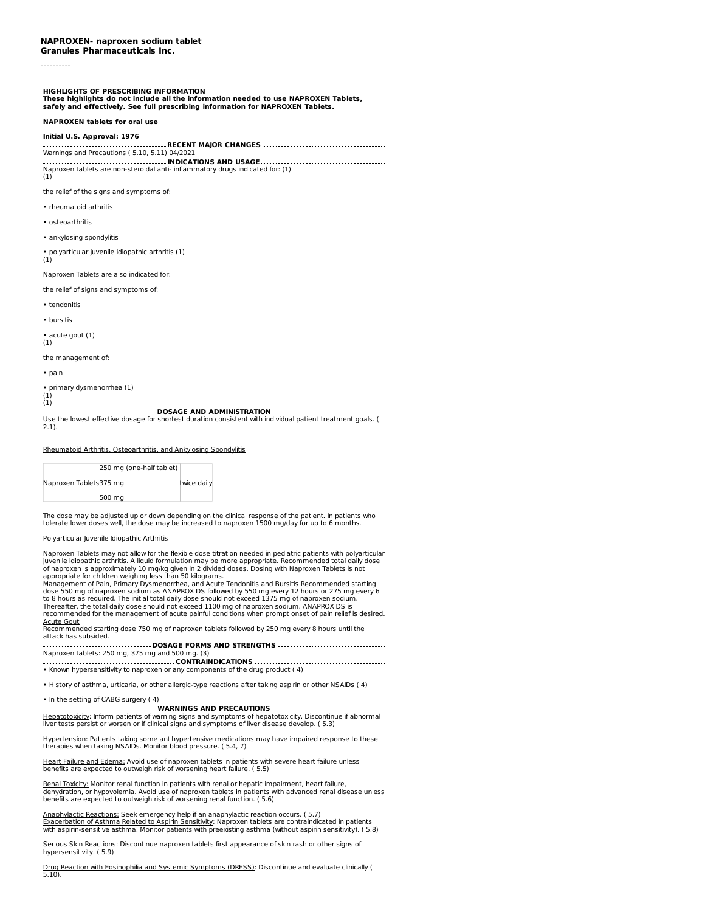**Granules Pharmaceuticals Inc.**

----------

**HIGHLIGHTS OF PRESCRIBING INFORMATION**

These highlights do not include all the information needed to use NAPROXEN Tablets,<br>safely and effectively. See full prescribing information for NAPROXEN Tablets.

**NAPROXEN tablets for oral use**

#### **Initial U.S. Approval: 1976**

**RECENT MAJOR CHANGES** Warnings and Precautions ( 5.10, 5.11) 04/2021 **INDICATIONS AND USAGE**

Naproxen tablets are non-steroidal anti- inflammatory drugs indicated for: (1) (1)

the relief of the signs and symptoms of:

- rheumatoid arthritis
- osteoarthritis
- ankylosing spondylitis

• polyarticular juvenile idiopathic arthritis (1)

(1)

Naproxen Tablets are also indicated for:

the relief of signs and symptoms of:

• tendonitis

• bursitis

acute gout (1)

(1)

the management of:

• pain

• primary dysmenorrhea (1)

(1) (1)

**DOSAGE AND ADMINISTRATION** Use the lowest effective dosage for shortest duration consistent with individual patient treatment goals. ( 2.1).

Rheumatoid Arthritis, Osteoarthritis, and Ankylosing Spondylitis

|                        | 250 mg (one-half tablet) |             |  |
|------------------------|--------------------------|-------------|--|
| Naproxen Tablets375 mg |                          | twice daily |  |
|                        | 500 ma                   |             |  |

The dose may be adjusted up or down depending on the clinical response of the patient. In patients who tolerate lower doses well, the dose may be increased to naproxen 1500 mg/day for up to 6 months.

## Polyarticular Juvenile Idiopathic Arthritis

Naproxen Tablets may not allow for the flexible dose titration needed in pediatric patients with polyarticular juvenile idiopathic arthritis. A liquid formulation may be more appropriate. Recommended total daily dose of naproxen is approximately 10 mg/kg given in 2 divided doses. Dosing with Naproxen Tablets is not

appropriate for children weighing less than 50 kilograms.<br>Management of Pain, Primary Dysmenorrhea, and Acute Tendonitis and Bursitis Recommended starting<br>dose 550 mg of naproxen sodium as ANAPROX DS followed by 550 mg eve Thereafter, the total daily dose should not exceed 1100 mg of naproxen sodium. ANAPROX DS is recommended for the management of acute painful conditions when prompt onset of pain relief is desired.

<u>Acute Gout</u><br>Recommended starting dose 750 mg of naproxen tablets followed by 250 mg every 8 hours until the attack has subsided.

**DOSAGE FORMS AND STRENGTHS** Naproxen tablets: 250 mg, 375 mg and 500 mg. (3)

**CONTRAINDICATIONS** • Known hypersensitivity to naproxen or any components of the drug product ( 4)

• History of asthma, urticaria, or other allergic-type reactions after taking aspirin or other NSAIDs ( 4)

#### • In the setting of CABG surgery ( 4)

**WARNINGS AND PRECAUTIONS** <u>Hepatotoxicity</u>: Inform patients of warning signs and symptoms of hepatotoxicity. Discontinue if abnormal<br>liver tests persist or worsen or if clinical signs and symptoms of liver disease develop. ( 5.3)

Hypertension: Patients taking some antihypertensive medications may have impaired response to these therapies when taking NSAIDs. Monitor blood pressure. ( 5.4, 7)

<u>Heart Failure and Edema:</u> Avoid use of naproxen tablets in patients with severe heart failure unless<br>benefits are expected to outweigh risk of worsening heart failure. ( 5.5)

Renal Toxicity: Monitor renal function in patients with renal or hepatic impairment, heart failure, dehydration, or hypovolemia. Avoid use of naproxen tablets in patients with advanced renal disease unless benefits are expected to outweigh risk of worsening renal function. ( 5.6)

<u>Anaphylactic Reactions:</u> Seek emergency help if an anaphylactic reaction occurs. ( 5.7)<br><u>Exacerbation of Asthma Related to Aspirin Sensitivity</u>: Naproxen tablets are contraindicated in patients<br>with aspirin-sensitive asth

<u>Serious Skin Reactions:</u> Discontinue naproxen tablets first appearance of skin rash or other signs of<br>hypersensitivity. ( 5.9)

D<u>rug Reaction with Eosinophilia and Systemic Symptoms (DRESS)</u>: Discontinue and evaluate clinically (<br>5.10).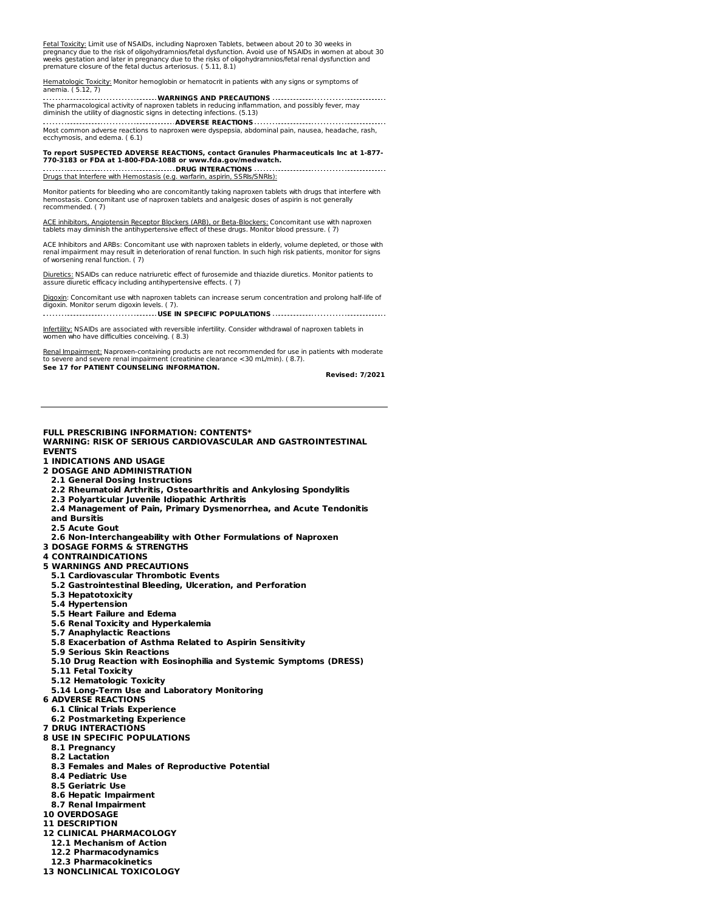<u>Fetal Toxicity:</u> Limit use of NSAIDs, including Naproxen Tablets, between about 20 to 30 weeks in<br>pregnancy due to the risk of oligohydramnios/fetal dysfunction. Avoid use of NSAIDs in women at about 30<br>weeks gestation an premature closure of the fetal ductus arteriosus. ( 5.11, 8.1)

<u>Hematologic Toxicity:</u> Monitor hemoglobin or hematocrit in patients with any signs or symptoms of<br>anemia. ( 5.12, 7)

**WARNINGS AND PRECAUTIONS** The pharmacological activity of naproxen tablets in reducing inflammation, and possibly fever, may diminish the utility of diagnostic signs in detecting infections. (5.13)

**ADVERSE REACTIONS** Most common adverse reactions to naproxen were dyspepsia, abdominal pain, nausea, headache, rash, ecchymosis, and edema. ( 6.1)

To report SUSPECTED ADVERSE REACTIONS, contact Granules Pharmaceuticals Inc at 1-877-<br>770-3183 or FDA at 1-800-FDA-1088 or www.fda.gov/medwatch. **DRUG INTERACTIONS**

Drugs that Interfere with Hemostasis (e.g. warfarin, aspirin, SSRIs/SNRIs):

Monitor patients for bleeding who are concomitantly taking naproxen tablets with drugs that interfere with hemostasis. Concomitant use of naproxen tablets and analgesic doses of aspirin is not generally recommended. ( 7)

ACE inhibitors, Angiotensin Receptor Blockers (ARB), or Beta-Blockers: Concomitant use with naproxen tablets may diminish the antihypertensive effect of these drugs. Monitor blood pressure. ( 7)

ACE Inhibitors and ARBs: Concomitant use with naproxen tablets in elderly, volume depleted, or those with renal impairment may result in deterioration of renal function. In such high risk patients, monitor for signs of worsening renal function. ( 7)

Diuretics: NSAIDs can reduce natriuretic effect of furosemide and thiazide diuretics. Monitor patients to assure diuretic efficacy including antihypertensive effects. ( 7)

Digoxin: Concomitant use with naproxen tablets can increase serum concentration and prolong half-life of digoxin. Monitor serum digoxin levels. ( 7).

**USE IN SPECIFIC POPULATIONS**

Infertility: NSAIDs are associated with reversible infertility. Consider withdrawal of naproxen tablets in women who have difficulties conceiving. ( 8.3)

Renal Impairment: Naproxen-containing products are not recommended for use in patients with moderate to severe and severe renal impairment (creatinine clearance <30 mL/min). ( 8.7). **See 17 for PATIENT COUNSELING INFORMATION.**

**Revised: 7/2021**

#### **FULL PRESCRIBING INFORMATION: CONTENTS\* WARNING: RISK OF SERIOUS CARDIOVASCULAR AND GASTROINTESTINAL EVENTS**

- **1 INDICATIONS AND USAGE**
- **2 DOSAGE AND ADMINISTRATION**
- **2.1 General Dosing Instructions**
- **2.2 Rheumatoid Arthritis, Osteoarthritis and Ankylosing Spondylitis**
- **2.3 Polyarticular Juvenile Idiopathic Arthritis**
- **2.4 Management of Pain, Primary Dysmenorrhea, and Acute Tendonitis**
- **and Bursitis**

5.10).

- **2.5 Acute Gout**
- **2.6 Non-Interchangeability with Other Formulations of Naproxen**
- **3 DOSAGE FORMS & STRENGTHS**
- **4 CONTRAINDICATIONS 5 WARNINGS AND PRECAUTIONS**
- **5.1 Cardiovascular Thrombotic Events**
- **5.2 Gastrointestinal Bleeding, Ulceration, and Perforation**
- **5.3 Hepatotoxicity**
- **5.4 Hypertension**
- **5.5 Heart Failure and Edema**
- **5.6 Renal Toxicity and Hyperkalemia**
- **5.7 Anaphylactic Reactions**
- **5.8 Exacerbation of Asthma Related to Aspirin Sensitivity**
- **5.9 Serious Skin Reactions**
- **5.10 Drug Reaction with Eosinophilia and Systemic Symptoms (DRESS)**
- **5.11 Fetal Toxicity**
- **5.12 Hematologic Toxicity**
- **5.14 Long-Term Use and Laboratory Monitoring**
- **6 ADVERSE REACTIONS**
- **6.1 Clinical Trials Experience**
- **6.2 Postmarketing Experience**
- **7 DRUG INTERACTIONS**
- **8 USE IN SPECIFIC POPULATIONS**
	- **8.1 Pregnancy**
	- **8.2 Lactation**
	- **8.3 Females and Males of Reproductive Potential**
	- **8.4 Pediatric Use**
	- **8.5 Geriatric Use**
	- **8.6 Hepatic Impairment**
	- **8.7 Renal Impairment**
- **10 OVERDOSAGE**
- **11 DESCRIPTION**
- **12 CLINICAL PHARMACOLOGY**
- **12.1 Mechanism of Action 12.2 Pharmacodynamics**
- **12.3 Pharmacokinetics**
- **13 NONCLINICAL TOXICOLOGY**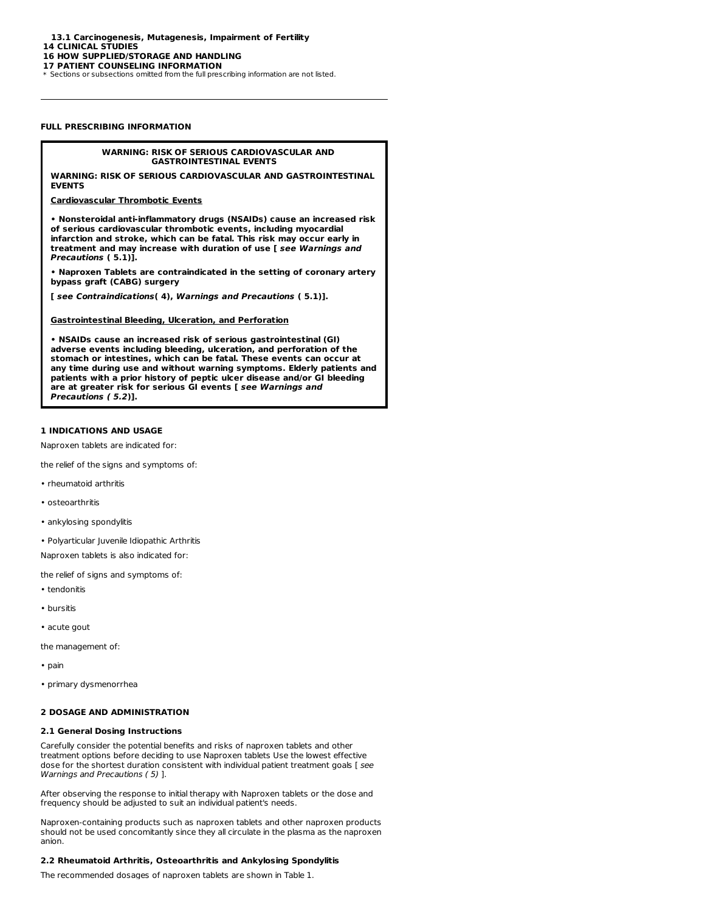**13.1 Carcinogenesis, Mutagenesis, Impairment of Fertility**

**14 CLINICAL STUDIES**

#### **16 HOW SUPPLIED/STORAGE AND HANDLING**

**17 PATIENT COUNSELING INFORMATION**

\* Sections or subsections omitted from the full prescribing information are not listed.

## **FULL PRESCRIBING INFORMATION**

## **WARNING: RISK OF SERIOUS CARDIOVASCULAR AND GASTROINTESTINAL EVENTS**

**WARNING: RISK OF SERIOUS CARDIOVASCULAR AND GASTROINTESTINAL EVENTS**

## **Cardiovascular Thrombotic Events**

**• Nonsteroidal anti-inflammatory drugs (NSAIDs) cause an increased risk of serious cardiovascular thrombotic events, including myocardial infarction and stroke, which can be fatal. This risk may occur early in treatment and may increase with duration of use [ see Warnings and Precautions ( 5.1)].**

**• Naproxen Tablets are contraindicated in the setting of coronary artery bypass graft (CABG) surgery**

**[ see Contraindications( 4), Warnings and Precautions ( 5.1)].**

#### **Gastrointestinal Bleeding, Ulceration, and Perforation**

**• NSAIDs cause an increased risk of serious gastrointestinal (GI) adverse events including bleeding, ulceration, and perforation of the stomach or intestines, which can be fatal. These events can occur at any time during use and without warning symptoms. Elderly patients and patients with a prior history of peptic ulcer disease and/or GI bleeding are at greater risk for serious GI events [ see Warnings and Precautions ( 5.2)].**

# **1 INDICATIONS AND USAGE**

Naproxen tablets are indicated for:

the relief of the signs and symptoms of:

- rheumatoid arthritis
- osteoarthritis
- ankylosing spondylitis
- Polyarticular Juvenile Idiopathic Arthritis

Naproxen tablets is also indicated for:

the relief of signs and symptoms of:

- tendonitis
- bursitis
- acute gout

the management of:

- pain
- primary dysmenorrhea

## **2 DOSAGE AND ADMINISTRATION**

#### **2.1 General Dosing Instructions**

Carefully consider the potential benefits and risks of naproxen tablets and other treatment options before deciding to use Naproxen tablets Use the lowest effective dose for the shortest duration consistent with individual patient treatment goals [ see Warnings and Precautions ( 5) ].

After observing the response to initial therapy with Naproxen tablets or the dose and frequency should be adjusted to suit an individual patient's needs.

Naproxen-containing products such as naproxen tablets and other naproxen products should not be used concomitantly since they all circulate in the plasma as the naproxen anion.

## **2.2 Rheumatoid Arthritis, Osteoarthritis and Ankylosing Spondylitis**

The recommended dosages of naproxen tablets are shown in Table 1.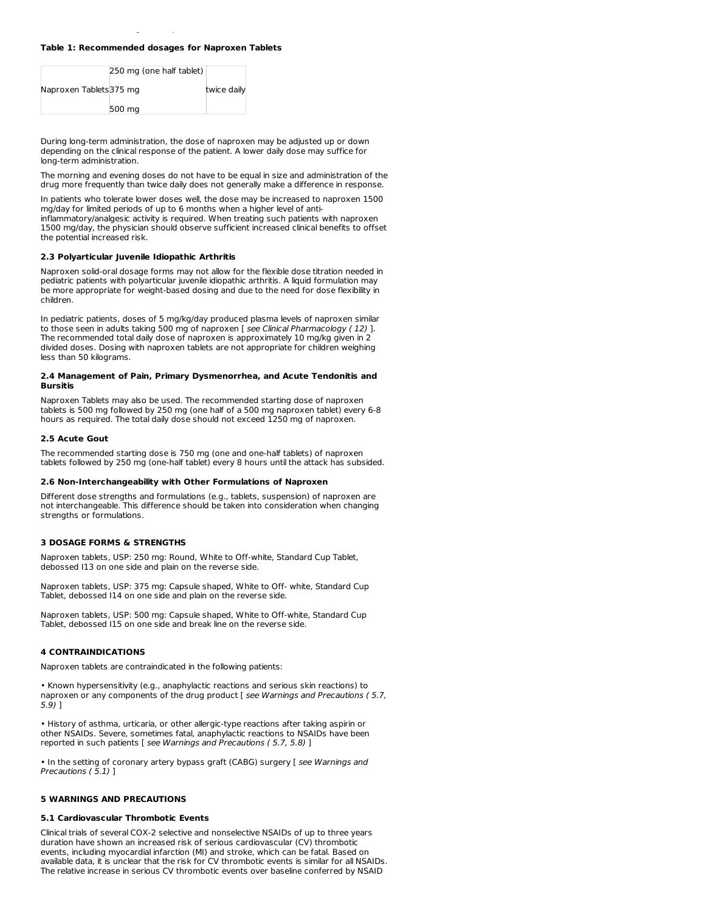# **Table 1: Recommended dosages for Naproxen Tablets**

The recommended dosages of naproxen tablets are shown in Table 1.

|                         | 250 mg (one half tablet) |             |
|-------------------------|--------------------------|-------------|
| Naproxen Tablets 375 mg |                          | twice daily |
|                         | 500 mg                   |             |

During long-term administration, the dose of naproxen may be adjusted up or down depending on the clinical response of the patient. A lower daily dose may suffice for long-term administration.

The morning and evening doses do not have to be equal in size and administration of the drug more frequently than twice daily does not generally make a difference in response.

In patients who tolerate lower doses well, the dose may be increased to naproxen 1500 mg/day for limited periods of up to 6 months when a higher level of antiinflammatory/analgesic activity is required. When treating such patients with naproxen 1500 mg/day, the physician should observe sufficient increased clinical benefits to offset the potential increased risk.

#### **2.3 Polyarticular Juvenile Idiopathic Arthritis**

Naproxen solid-oral dosage forms may not allow for the flexible dose titration needed in pediatric patients with polyarticular juvenile idiopathic arthritis. A liquid formulation may be more appropriate for weight-based dosing and due to the need for dose flexibility in children.

In pediatric patients, doses of 5 mg/kg/day produced plasma levels of naproxen similar to those seen in adults taking 500 mg of naproxen [ see Clinical Pharmacology ( 12) ]. The recommended total daily dose of naproxen is approximately 10 mg/kg given in 2 divided doses. Dosing with naproxen tablets are not appropriate for children weighing less than 50 kilograms.

#### **2.4 Management of Pain, Primary Dysmenorrhea, and Acute Tendonitis and Bursitis**

Naproxen Tablets may also be used. The recommended starting dose of naproxen tablets is 500 mg followed by 250 mg (one half of a 500 mg naproxen tablet) every 6-8 hours as required. The total daily dose should not exceed 1250 mg of naproxen.

#### **2.5 Acute Gout**

The recommended starting dose is 750 mg (one and one-half tablets) of naproxen tablets followed by 250 mg (one-half tablet) every 8 hours until the attack has subsided.

# **2.6 Non-Interchangeability with Other Formulations of Naproxen**

Different dose strengths and formulations (e.g., tablets, suspension) of naproxen are not interchangeable. This difference should be taken into consideration when changing strengths or formulations.

## **3 DOSAGE FORMS & STRENGTHS**

Naproxen tablets, USP: 250 mg: Round, White to Off-white, Standard Cup Tablet, debossed I13 on one side and plain on the reverse side.

Naproxen tablets, USP: 375 mg: Capsule shaped, White to Off- white, Standard Cup Tablet, debossed I14 on one side and plain on the reverse side.

Naproxen tablets, USP: 500 mg: Capsule shaped, White to Off-white, Standard Cup Tablet, debossed I15 on one side and break line on the reverse side.

# **4 CONTRAINDICATIONS**

Naproxen tablets are contraindicated in the following patients:

• Known hypersensitivity (e.g., anaphylactic reactions and serious skin reactions) to naproxen or any components of the drug product [ see Warnings and Precautions ( 5.7, 5.9) ]

• History of asthma, urticaria, or other allergic-type reactions after taking aspirin or other NSAIDs. Severe, sometimes fatal, anaphylactic reactions to NSAIDs have been reported in such patients [ see Warnings and Precautions ( 5.7, 5.8) ]

• In the setting of coronary artery bypass graft (CABG) surgery [ see Warnings and Precautions (5.1) ]

## **5 WARNINGS AND PRECAUTIONS**

## **5.1 Cardiovascular Thrombotic Events**

Clinical trials of several COX-2 selective and nonselective NSAIDs of up to three years duration have shown an increased risk of serious cardiovascular (CV) thrombotic events, including myocardial infarction (MI) and stroke, which can be fatal. Based on available data, it is unclear that the risk for CV thrombotic events is similar for all NSAIDs. The relative increase in serious CV thrombotic events over baseline conferred by NSAID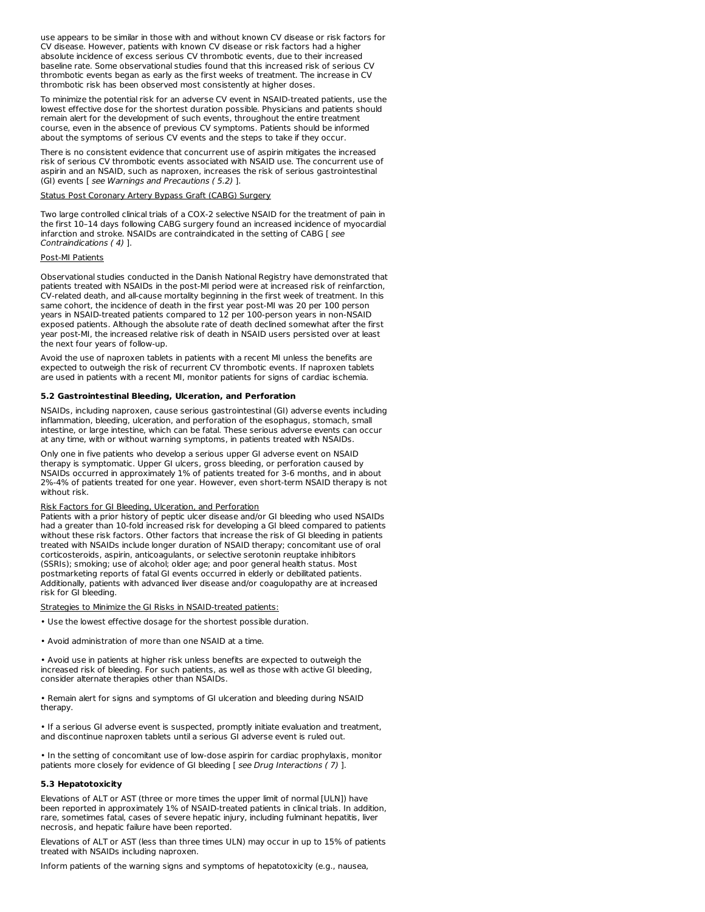use appears to be similar in those with and without known CV disease or risk factors for CV disease. However, patients with known CV disease or risk factors had a higher absolute incidence of excess serious CV thrombotic events, due to their increased baseline rate. Some observational studies found that this increased risk of serious CV thrombotic events began as early as the first weeks of treatment. The increase in CV thrombotic risk has been observed most consistently at higher doses.

To minimize the potential risk for an adverse CV event in NSAID-treated patients, use the lowest effective dose for the shortest duration possible. Physicians and patients should remain alert for the development of such events, throughout the entire treatment course, even in the absence of previous CV symptoms. Patients should be informed about the symptoms of serious CV events and the steps to take if they occur.

There is no consistent evidence that concurrent use of aspirin mitigates the increased risk of serious CV thrombotic events associated with NSAID use. The concurrent use of aspirin and an NSAID, such as naproxen, increases the risk of serious gastrointestinal (GI) events [ see Warnings and Precautions ( 5.2) ].

#### Status Post Coronary Artery Bypass Graft (CABG) Surgery

Two large controlled clinical trials of a COX-2 selective NSAID for the treatment of pain in the first 10–14 days following CABG surgery found an increased incidence of myocardial infarction and stroke. NSAIDs are contraindicated in the setting of CABG [ see Contraindications ( 4) ].

## Post-MI Patients

Observational studies conducted in the Danish National Registry have demonstrated that patients treated with NSAIDs in the post-MI period were at increased risk of reinfarction, CV-related death, and all-cause mortality beginning in the first week of treatment. In this same cohort, the incidence of death in the first year post-MI was 20 per 100 person years in NSAID-treated patients compared to 12 per 100-person years in non-NSAID exposed patients. Although the absolute rate of death declined somewhat after the first year post-MI, the increased relative risk of death in NSAID users persisted over at least the next four years of follow-up.

Avoid the use of naproxen tablets in patients with a recent MI unless the benefits are expected to outweigh the risk of recurrent CV thrombotic events. If naproxen tablets are used in patients with a recent MI, monitor patients for signs of cardiac ischemia.

#### **5.2 Gastrointestinal Bleeding, Ulceration, and Perforation**

NSAIDs, including naproxen, cause serious gastrointestinal (GI) adverse events including inflammation, bleeding, ulceration, and perforation of the esophagus, stomach, small intestine, or large intestine, which can be fatal. These serious adverse events can occur at any time, with or without warning symptoms, in patients treated with NSAIDs.

Only one in five patients who develop a serious upper GI adverse event on NSAID therapy is symptomatic. Upper GI ulcers, gross bleeding, or perforation caused by NSAIDs occurred in approximately 1% of patients treated for 3-6 months, and in about 2%-4% of patients treated for one year. However, even short-term NSAID therapy is not without risk.

## Risk Factors for GI Bleeding, Ulceration, and Perforation

Patients with a prior history of peptic ulcer disease and/or GI bleeding who used NSAIDs had a greater than 10-fold increased risk for developing a GI bleed compared to patients without these risk factors. Other factors that increase the risk of GI bleeding in patients treated with NSAIDs include longer duration of NSAID therapy; concomitant use of oral corticosteroids, aspirin, anticoagulants, or selective serotonin reuptake inhibitors (SSRIs); smoking; use of alcohol; older age; and poor general health status. Most postmarketing reports of fatal GI events occurred in elderly or debilitated patients. Additionally, patients with advanced liver disease and/or coagulopathy are at increased risk for GI bleeding.

ategies to Minimize the GI Risks in NSAID-treated patients:

- Use the lowest effective dosage for the shortest possible duration.
- Avoid administration of more than one NSAID at a time.

• Avoid use in patients at higher risk unless benefits are expected to outweigh the increased risk of bleeding. For such patients, as well as those with active GI bleeding, consider alternate therapies other than NSAIDs.

• Remain alert for signs and symptoms of GI ulceration and bleeding during NSAID therapy.

• If a serious GI adverse event is suspected, promptly initiate evaluation and treatment, and discontinue naproxen tablets until a serious GI adverse event is ruled out.

• In the setting of concomitant use of low-dose aspirin for cardiac prophylaxis, monitor patients more closely for evidence of GI bleeding [ see Drug Interactions (7) ].

# **5.3 Hepatotoxicity**

Elevations of ALT or AST (three or more times the upper limit of normal [ULN]) have been reported in approximately 1% of NSAID-treated patients in clinical trials. In addition, rare, sometimes fatal, cases of severe hepatic injury, including fulminant hepatitis, liver necrosis, and hepatic failure have been reported.

Elevations of ALT or AST (less than three times ULN) may occur in up to 15% of patients treated with NSAIDs including naproxen.

Inform patients of the warning signs and symptoms of hepatotoxicity (e.g., nausea,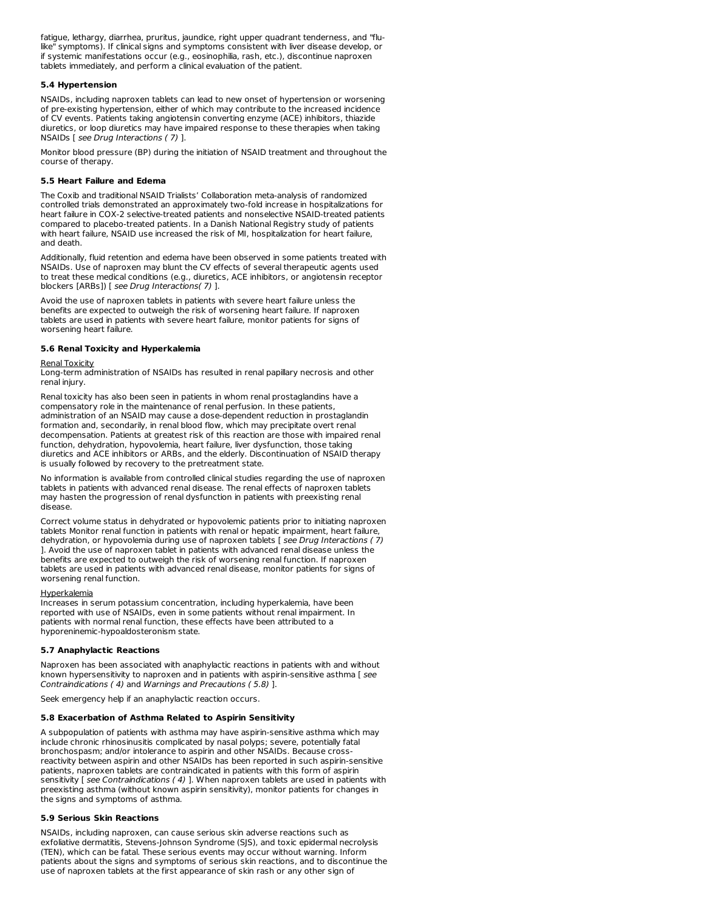fatigue, lethargy, diarrhea, pruritus, jaundice, right upper quadrant tenderness, and "flulike" symptoms). If clinical signs and symptoms consistent with liver disease develop, or if systemic manifestations occur (e.g., eosinophilia, rash, etc.), discontinue naproxen tablets immediately, and perform a clinical evaluation of the patient.

# **5.4 Hypertension**

NSAIDs, including naproxen tablets can lead to new onset of hypertension or worsening of pre-existing hypertension, either of which may contribute to the increased incidence of CV events. Patients taking angiotensin converting enzyme (ACE) inhibitors, thiazide diuretics, or loop diuretics may have impaired response to these therapies when taking NSAIDs [ see Drug Interactions ( 7) ].

Monitor blood pressure (BP) during the initiation of NSAID treatment and throughout the course of therapy.

# **5.5 Heart Failure and Edema**

The Coxib and traditional NSAID Trialists' Collaboration meta-analysis of randomized controlled trials demonstrated an approximately two-fold increase in hospitalizations for heart failure in COX-2 selective-treated patients and nonselective NSAID-treated patients compared to placebo-treated patients. In a Danish National Registry study of patients with heart failure, NSAID use increased the risk of MI, hospitalization for heart failure, and death.

Additionally, fluid retention and edema have been observed in some patients treated with NSAIDs. Use of naproxen may blunt the CV effects of several therapeutic agents used to treat these medical conditions (e.g., diuretics, ACE inhibitors, or angiotensin receptor blockers [ARBs]) [ see Drug Interactions( 7) ].

Avoid the use of naproxen tablets in patients with severe heart failure unless the benefits are expected to outweigh the risk of worsening heart failure. If naproxen tablets are used in patients with severe heart failure, monitor patients for signs of worsening heart failure.

## **5.6 Renal Toxicity and Hyperkalemia**

## Renal Toxicity

Long-term administration of NSAIDs has resulted in renal papillary necrosis and other renal injury.

Renal toxicity has also been seen in patients in whom renal prostaglandins have a compensatory role in the maintenance of renal perfusion. In these patients, administration of an NSAID may cause a dose-dependent reduction in prostaglandin formation and, secondarily, in renal blood flow, which may precipitate overt renal decompensation. Patients at greatest risk of this reaction are those with impaired renal function, dehydration, hypovolemia, heart failure, liver dysfunction, those taking diuretics and ACE inhibitors or ARBs, and the elderly. Discontinuation of NSAID therapy is usually followed by recovery to the pretreatment state.

No information is available from controlled clinical studies regarding the use of naproxen tablets in patients with advanced renal disease. The renal effects of naproxen tablets may hasten the progression of renal dysfunction in patients with preexisting renal disease.

Correct volume status in dehydrated or hypovolemic patients prior to initiating naproxen tablets Monitor renal function in patients with renal or hepatic impairment, heart failure, dehydration, or hypovolemia during use of naproxen tablets [ see Drug Interactions (7) ]. Avoid the use of naproxen tablet in patients with advanced renal disease unless the benefits are expected to outweigh the risk of worsening renal function. If naproxen tablets are used in patients with advanced renal disease, monitor patients for signs of worsening renal function.

#### Hyperkalemia

Increases in serum potassium concentration, including hyperkalemia, have been reported with use of NSAIDs, even in some patients without renal impairment. In patients with normal renal function, these effects have been attributed to a hyporeninemic-hypoaldosteronism state.

## **5.7 Anaphylactic Reactions**

Naproxen has been associated with anaphylactic reactions in patients with and without known hypersensitivity to naproxen and in patients with aspirin-sensitive asthma [ see Contraindications ( 4) and Warnings and Precautions ( 5.8) ].

Seek emergency help if an anaphylactic reaction occurs.

## **5.8 Exacerbation of Asthma Related to Aspirin Sensitivity**

A subpopulation of patients with asthma may have aspirin-sensitive asthma which may include chronic rhinosinusitis complicated by nasal polyps; severe, potentially fatal bronchospasm; and/or intolerance to aspirin and other NSAIDs. Because crossreactivity between aspirin and other NSAIDs has been reported in such aspirin-sensitive patients, naproxen tablets are contraindicated in patients with this form of aspirin sensitivity [ see Contraindications (4) ]. When naproxen tablets are used in patients with preexisting asthma (without known aspirin sensitivity), monitor patients for changes in the signs and symptoms of asthma.

## **5.9 Serious Skin Reactions**

NSAIDs, including naproxen, can cause serious skin adverse reactions such as exfoliative dermatitis, Stevens-Johnson Syndrome (SJS), and toxic epidermal necrolysis (TEN), which can be fatal. These serious events may occur without warning. Inform patients about the signs and symptoms of serious skin reactions, and to discontinue the use of naproxen tablets at the first appearance of skin rash or any other sign of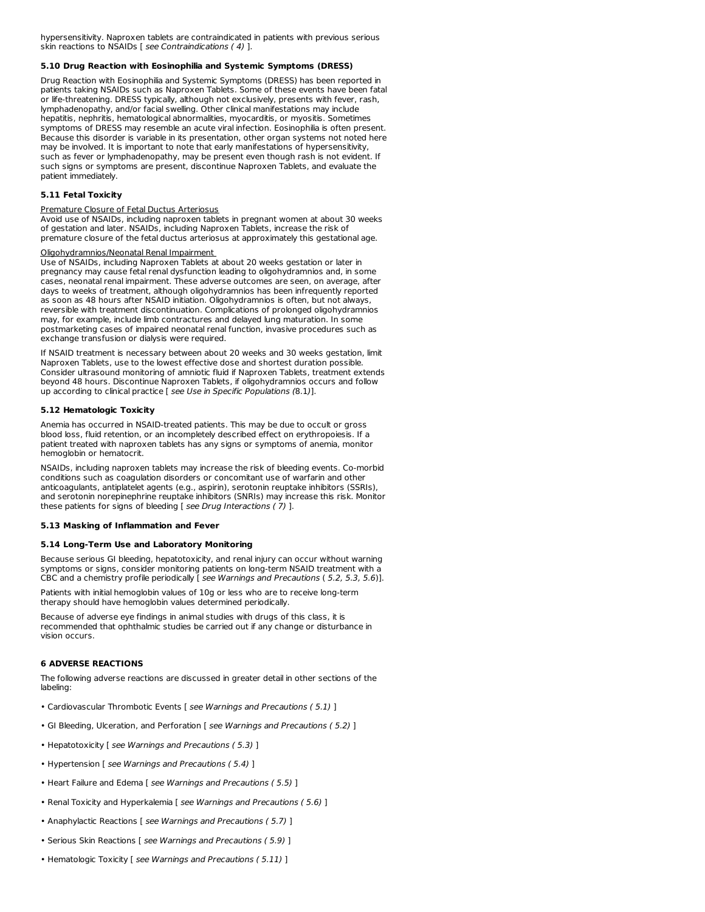hypersensitivity. Naproxen tablets are contraindicated in patients with previous serious skin reactions to NSAIDs [ see Contraindications ( 4) ].

## **5.10 Drug Reaction with Eosinophilia and Systemic Symptoms (DRESS)**

Drug Reaction with Eosinophilia and Systemic Symptoms (DRESS) has been reported in patients taking NSAIDs such as Naproxen Tablets. Some of these events have been fatal or life-threatening. DRESS typically, although not exclusively, presents with fever, rash, lymphadenopathy, and/or facial swelling. Other clinical manifestations may include hepatitis, nephritis, hematological abnormalities, myocarditis, or myositis. Sometimes symptoms of DRESS may resemble an acute viral infection. Eosinophilia is often present. Because this disorder is variable in its presentation, other organ systems not noted here may be involved. It is important to note that early manifestations of hypersensitivity, such as fever or lymphadenopathy, may be present even though rash is not evident. If such signs or symptoms are present, discontinue Naproxen Tablets, and evaluate the patient immediately.

## **5.11 Fetal Toxicity**

## Premature Closure of Fetal Ductus Arteriosus

Avoid use of NSAIDs, including naproxen tablets in pregnant women at about 30 weeks of gestation and later. NSAIDs, including Naproxen Tablets, increase the risk of premature closure of the fetal ductus arteriosus at approximately this gestational age.

## Oligohydramnios/Neonatal Renal Impairment

Use of NSAIDs, including Naproxen Tablets at about 20 weeks gestation or later in pregnancy may cause fetal renal dysfunction leading to oligohydramnios and, in some cases, neonatal renal impairment. These adverse outcomes are seen, on average, after days to weeks of treatment, although oligohydramnios has been infrequently reported as soon as 48 hours after NSAID initiation. Oligohydramnios is often, but not always, reversible with treatment discontinuation. Complications of prolonged oligohydramnios may, for example, include limb contractures and delayed lung maturation. In some postmarketing cases of impaired neonatal renal function, invasive procedures such as exchange transfusion or dialysis were required.

If NSAID treatment is necessary between about 20 weeks and 30 weeks gestation, limit Naproxen Tablets, use to the lowest effective dose and shortest duration possible. Consider ultrasound monitoring of amniotic fluid if Naproxen Tablets, treatment extends beyond 48 hours. Discontinue Naproxen Tablets, if oligohydramnios occurs and follow up according to clinical practice [ see Use in Specific Populations (8.1)].

## **5.12 Hematologic Toxicity**

Anemia has occurred in NSAID-treated patients. This may be due to occult or gross blood loss, fluid retention, or an incompletely described effect on erythropoiesis. If a patient treated with naproxen tablets has any signs or symptoms of anemia, monitor hemoglobin or hematocrit.

NSAIDs, including naproxen tablets may increase the risk of bleeding events. Co-morbid conditions such as coagulation disorders or concomitant use of warfarin and other anticoagulants, antiplatelet agents (e.g., aspirin), serotonin reuptake inhibitors (SSRIs), and serotonin norepinephrine reuptake inhibitors (SNRIs) may increase this risk. Monitor these patients for signs of bleeding [ see Drug Interactions ( 7) ].

## **5.13 Masking of Inflammation and Fever**

## **5.14 Long-Term Use and Laboratory Monitoring**

Because serious GI bleeding, hepatotoxicity, and renal injury can occur without warning symptoms or signs, consider monitoring patients on long-term NSAID treatment with a CBC and a chemistry profile periodically [ see Warnings and Precautions ( 5.2, 5.3, 5.6)].

Patients with initial hemoglobin values of 10g or less who are to receive long-term therapy should have hemoglobin values determined periodically.

Because of adverse eye findings in animal studies with drugs of this class, it is recommended that ophthalmic studies be carried out if any change or disturbance in vision occurs.

## **6 ADVERSE REACTIONS**

The following adverse reactions are discussed in greater detail in other sections of the labeling:

- Cardiovascular Thrombotic Events [ see Warnings and Precautions (5.1) ]
- GI Bleeding, Ulceration, and Perforation [ see Warnings and Precautions ( 5.2) ]
- Hepatotoxicity [ see Warnings and Precautions ( 5.3) ]
- Hypertension [ see Warnings and Precautions ( 5.4) ]
- Heart Failure and Edema [ see Warnings and Precautions (5.5) ]
- Renal Toxicity and Hyperkalemia [ see Warnings and Precautions (5.6) ]
- Anaphylactic Reactions [ see Warnings and Precautions (5.7) ]
- Serious Skin Reactions [ see Warnings and Precautions ( 5.9) ]
- Hematologic Toxicity [ see Warnings and Precautions (5.11) ]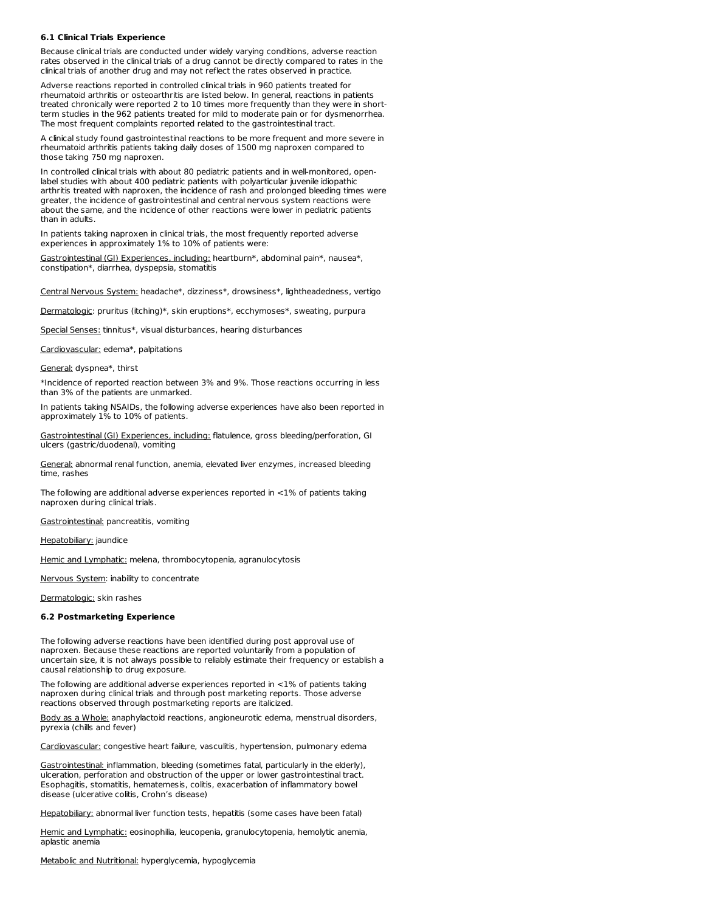## **6.1 Clinical Trials Experience**

Because clinical trials are conducted under widely varying conditions, adverse reaction rates observed in the clinical trials of a drug cannot be directly compared to rates in the clinical trials of another drug and may not reflect the rates observed in practice.

Adverse reactions reported in controlled clinical trials in 960 patients treated for rheumatoid arthritis or osteoarthritis are listed below. In general, reactions in patients treated chronically were reported 2 to 10 times more frequently than they were in shortterm studies in the 962 patients treated for mild to moderate pain or for dysmenorrhea. The most frequent complaints reported related to the gastrointestinal tract.

A clinical study found gastrointestinal reactions to be more frequent and more severe in rheumatoid arthritis patients taking daily doses of 1500 mg naproxen compared to those taking 750 mg naproxen.

In controlled clinical trials with about 80 pediatric patients and in well-monitored, openlabel studies with about 400 pediatric patients with polyarticular juvenile idiopathic arthritis treated with naproxen, the incidence of rash and prolonged bleeding times were greater, the incidence of gastrointestinal and central nervous system reactions were about the same, and the incidence of other reactions were lower in pediatric patients than in adults.

In patients taking naproxen in clinical trials, the most frequently reported adverse experiences in approximately 1% to 10% of patients were:

Gastrointestinal (GI) Experiences, including: heartburn\*, abdominal pain\*, nausea\*, constipation\*, diarrhea, dyspepsia, stomatitis

Central Nervous System: headache\*, dizziness\*, drowsiness\*, lightheadedness, vertigo

Dermatologic: pruritus (itching)\*, skin eruptions\*, ecchymoses\*, sweating, purpura

Special Senses: tinnitus\*, visual disturbances, hearing disturbances

Cardiovascular: edema\*, palpitations

General: dyspnea\*, thirst

\*Incidence of reported reaction between 3% and 9%. Those reactions occurring in less than 3% of the patients are unmarked.

In patients taking NSAIDs, the following adverse experiences have also been reported in approximately 1% to 10% of patients.

Gastrointestinal (GI) Experiences, including: flatulence, gross bleeding/perforation, GI ulcers (gastric/duodenal), vomiting

General: abnormal renal function, anemia, elevated liver enzymes, increased bleeding time, rashes

The following are additional adverse experiences reported in <1% of patients taking naproxen during clinical trials.

Gastrointestinal: pancreatitis, vomiting

Hepatobiliary: jaundice

Hemic and Lymphatic: melena, thrombocytopenia, agranulocytosis

Nervous System: inability to concentrate

Dermatologic: skin rashes

#### **6.2 Postmarketing Experience**

The following adverse reactions have been identified during post approval use of naproxen. Because these reactions are reported voluntarily from a population of uncertain size, it is not always possible to reliably estimate their frequency or establish a causal relationship to drug exposure.

The following are additional adverse experiences reported in <1% of patients taking naproxen during clinical trials and through post marketing reports. Those adverse reactions observed through postmarketing reports are italicized.

Body as a Whole: anaphylactoid reactions, angioneurotic edema, menstrual disorders, pyrexia (chills and fever)

Cardiovascular: congestive heart failure, vasculitis, hypertension, pulmonary edema

Gastrointestinal: inflammation, bleeding (sometimes fatal, particularly in the elderly), ulceration, perforation and obstruction of the upper or lower gastrointestinal tract. Esophagitis, stomatitis, hematemesis, colitis, exacerbation of inflammatory bowel disease (ulcerative colitis, Crohn's disease)

Hepatobiliary: abnormal liver function tests, hepatitis (some cases have been fatal)

Hemic and Lymphatic: eosinophilia, leucopenia, granulocytopenia, hemolytic anemia, aplastic anemia

Metabolic and Nutritional: hyperglycemia, hypoglycemia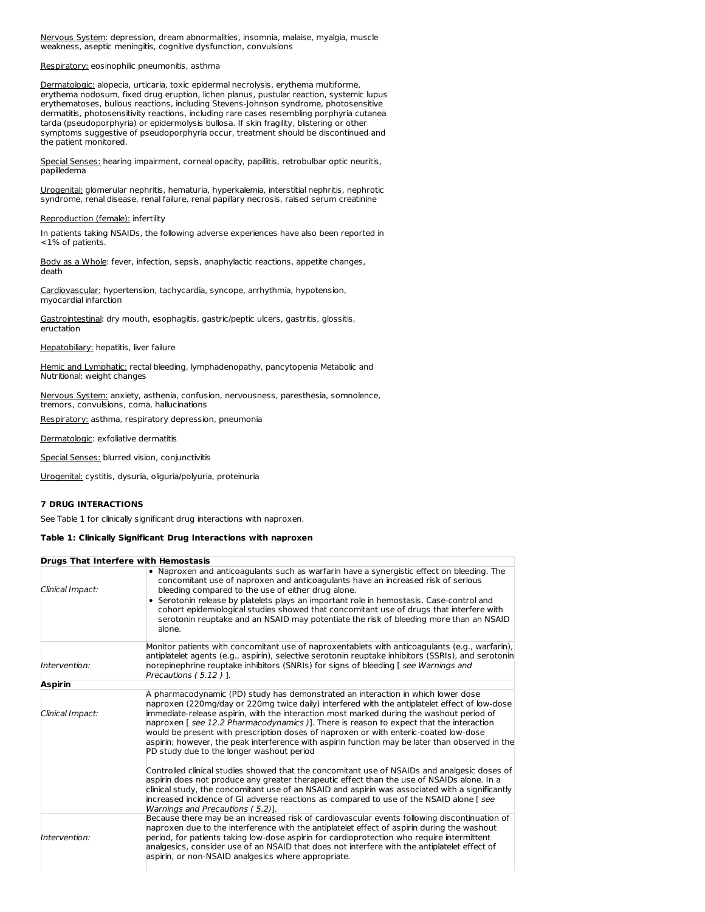Nervous System: depression, dream abnormalities, insomnia, malaise, myalgia, muscle weakness, aseptic meningitis, cognitive dysfunction, convulsions

Respiratory: eosinophilic pneumonitis, asthma

Dermatologic: alopecia, urticaria, toxic epidermal necrolysis, erythema multiforme, erythema nodosum, fixed drug eruption, lichen planus, pustular reaction, systemic lupus erythematoses, bullous reactions, including Stevens-Johnson syndrome, photosensitive dermatitis, photosensitivity reactions, including rare cases resembling porphyria cutanea tarda (pseudoporphyria) or epidermolysis bullosa. If skin fragility, blistering or other symptoms suggestive of pseudoporphyria occur, treatment should be discontinued and the patient monitored.

Special Senses: hearing impairment, corneal opacity, papillitis, retrobulbar optic neuritis, papilledema

Urogenital: glomerular nephritis, hematuria, hyperkalemia, interstitial nephritis, nephrotic syndrome, renal disease, renal failure, renal papillary necrosis, raised serum creatinine

#### Reproduction (female): infertility

In patients taking NSAIDs, the following adverse experiences have also been reported in <1% of patients.

Body as a Whole: fever, infection, sepsis, anaphylactic reactions, appetite changes, death

Cardiovascular: hypertension, tachycardia, syncope, arrhythmia, hypotension, myocardial infarction

Gastrointestinal: dry mouth, esophagitis, gastric/peptic ulcers, gastritis, glossitis, eructation

Hepatobiliary: hepatitis, liver failure

Hemic and Lymphatic: rectal bleeding, lymphadenopathy, pancytopenia Metabolic and Nutritional: weight changes

Nervous System: anxiety, asthenia, confusion, nervousness, paresthesia, somnolence, tremors, convulsions, coma, hallucinations

Respiratory: asthma, respiratory depression, pneumonia

Dermatologic: exfoliative dermatitis

Special Senses: blurred vision, conjunctivitis

Urogenital: cystitis, dysuria, oliguria/polyuria, proteinuria

#### **7 DRUG INTERACTIONS**

See Table 1 for clinically significant drug interactions with naproxen.

# **Table 1: Clinically Significant Drug Interactions with naproxen**

|                  | <b>Drugs That Interfere with Hemostasis</b>                                                                                                                                                                                                                                                                                                                                                                                                                                                                                                                                                                       |
|------------------|-------------------------------------------------------------------------------------------------------------------------------------------------------------------------------------------------------------------------------------------------------------------------------------------------------------------------------------------------------------------------------------------------------------------------------------------------------------------------------------------------------------------------------------------------------------------------------------------------------------------|
| Clinical Impact: | . Naproxen and anticoagulants such as warfarin have a synergistic effect on bleeding. The<br>concomitant use of naproxen and anticoagulants have an increased risk of serious<br>bleeding compared to the use of either drug alone.<br>• Serotonin release by platelets plays an important role in hemostasis. Case-control and<br>cohort epidemiological studies showed that concomitant use of drugs that interfere with<br>serotonin reuptake and an NSAID may potentiate the risk of bleeding more than an NSAID<br>alone.                                                                                    |
| Intervention:    | Monitor patients with concomitant use of naproxentablets with anticoagulants (e.g., warfarin),<br>antiplatelet agents (e.g., aspirin), selective serotonin reuptake inhibitors (SSRIs), and serotonin<br>norepinephrine reuptake inhibitors (SNRIs) for signs of bleeding [see Warnings and<br>Precautions $(5.12)$ ].                                                                                                                                                                                                                                                                                            |
| Aspirin          |                                                                                                                                                                                                                                                                                                                                                                                                                                                                                                                                                                                                                   |
| Clinical Impact: | A pharmacodynamic (PD) study has demonstrated an interaction in which lower dose<br>naproxen (220mg/day or 220mg twice daily) interfered with the antiplatelet effect of low-dose<br>limmediate-release aspirin, with the interaction most marked during the washout period of<br>haproxen [ see 12.2 Pharmacodynamics )]. There is reason to expect that the interaction<br>would be present with prescription doses of naproxen or with enteric-coated low-dose<br>aspirin; however, the peak interference with aspirin function may be later than observed in the<br>PD study due to the longer washout period |
|                  | Controlled clinical studies showed that the concomitant use of NSAIDs and analgesic doses of<br>aspirin does not produce any greater therapeutic effect than the use of NSAIDs alone. In a<br>clinical study, the concomitant use of an NSAID and aspirin was associated with a significantly<br>increased incidence of GI adverse reactions as compared to use of the NSAID alone [ see<br>Warnings and Precautions (5.2)].                                                                                                                                                                                      |
| Intervention:    | Because there may be an increased risk of cardiovascular events following discontinuation of<br>naproxen due to the interference with the antiplatelet effect of aspirin during the washout<br>period, for patients taking low-dose aspirin for cardioprotection who require intermittent<br>analgesics, consider use of an NSAID that does not interfere with the antiplatelet effect of<br>aspirin, or non-NSAID analgesics where appropriate.                                                                                                                                                                  |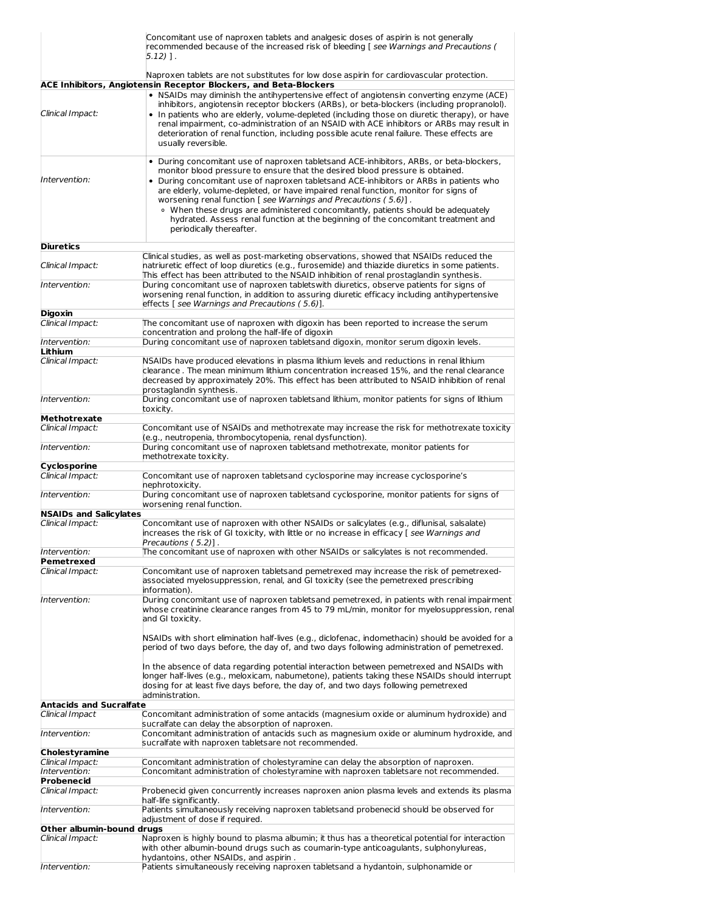|                                   | Concomitant use of naproxen tablets and analgesic doses of aspirin is not generally<br>recommended because of the increased risk of bleeding [see Warnings and Precautions (<br>5.12) 1.                                                                                                                                                                                                                                                                                                                                                                                                                                          |  |  |
|-----------------------------------|-----------------------------------------------------------------------------------------------------------------------------------------------------------------------------------------------------------------------------------------------------------------------------------------------------------------------------------------------------------------------------------------------------------------------------------------------------------------------------------------------------------------------------------------------------------------------------------------------------------------------------------|--|--|
|                                   | Naproxen tablets are not substitutes for low dose aspirin for cardiovascular protection.<br><b>ACE Inhibitors, Angiotensin Receptor Blockers, and Beta-Blockers</b>                                                                                                                                                                                                                                                                                                                                                                                                                                                               |  |  |
| Clinical Impact:                  | . NSAIDs may diminish the antihypertensive effect of angiotensin converting enzyme (ACE)<br>inhibitors, angiotensin receptor blockers (ARBs), or beta-blockers (including propranolol).<br>• In patients who are elderly, volume-depleted (including those on diuretic therapy), or have<br>renal impairment, co-administration of an NSAID with ACE inhibitors or ARBs may result in<br>deterioration of renal function, including possible acute renal failure. These effects are<br>usually reversible.                                                                                                                        |  |  |
| Intervention:                     | • During concomitant use of naproxen tabletsand ACE-inhibitors, ARBs, or beta-blockers,<br>monitor blood pressure to ensure that the desired blood pressure is obtained.<br>• During concomitant use of naproxen tabletsand ACE-inhibitors or ARBs in patients who<br>are elderly, volume-depleted, or have impaired renal function, monitor for signs of<br>worsening renal function [ see Warnings and Precautions (5.6)].<br>• When these drugs are administered concomitantly, patients should be adequately<br>hydrated. Assess renal function at the beginning of the concomitant treatment and<br>periodically thereafter. |  |  |
| <b>Diuretics</b>                  |                                                                                                                                                                                                                                                                                                                                                                                                                                                                                                                                                                                                                                   |  |  |
| Clinical Impact:                  | Clinical studies, as well as post-marketing observations, showed that NSAIDs reduced the<br>natriuretic effect of loop diuretics (e.g., furosemide) and thiazide diuretics in some patients.<br>This effect has been attributed to the NSAID inhibition of renal prostaglandin synthesis.                                                                                                                                                                                                                                                                                                                                         |  |  |
| Intervention:                     | During concomitant use of naproxen tabletswith diuretics, observe patients for signs of<br>worsening renal function, in addition to assuring diuretic efficacy including antihypertensive<br>effects [ see Warnings and Precautions (5.6)].                                                                                                                                                                                                                                                                                                                                                                                       |  |  |
| Digoxin                           |                                                                                                                                                                                                                                                                                                                                                                                                                                                                                                                                                                                                                                   |  |  |
| Clinical Impact:                  | The concomitant use of naproxen with digoxin has been reported to increase the serum<br>concentration and prolong the half-life of digoxin                                                                                                                                                                                                                                                                                                                                                                                                                                                                                        |  |  |
| Intervention:<br>Lithium          | During concomitant use of naproxen tabletsand digoxin, monitor serum digoxin levels.                                                                                                                                                                                                                                                                                                                                                                                                                                                                                                                                              |  |  |
| Clinical Impact:                  | NSAIDs have produced elevations in plasma lithium levels and reductions in renal lithium<br>clearance. The mean minimum lithium concentration increased 15%, and the renal clearance<br>decreased by approximately 20%. This effect has been attributed to NSAID inhibition of renal<br>prostaglandin synthesis.                                                                                                                                                                                                                                                                                                                  |  |  |
| Intervention:                     | During concomitant use of naproxen tabletsand lithium, monitor patients for signs of lithium<br>toxicity.                                                                                                                                                                                                                                                                                                                                                                                                                                                                                                                         |  |  |
| Methotrexate                      |                                                                                                                                                                                                                                                                                                                                                                                                                                                                                                                                                                                                                                   |  |  |
| Clinical Impact:                  | Concomitant use of NSAIDs and methotrexate may increase the risk for methotrexate toxicity                                                                                                                                                                                                                                                                                                                                                                                                                                                                                                                                        |  |  |
| Intervention:                     | (e.g., neutropenia, thrombocytopenia, renal dysfunction).<br>During concomitant use of naproxen tabletsand methotrexate, monitor patients for<br>methotrexate toxicity.                                                                                                                                                                                                                                                                                                                                                                                                                                                           |  |  |
| Cyclosporine<br>Clinical Impact:  | Concomitant use of naproxen tabletsand cyclosporine may increase cyclosporine's<br>nephrotoxicity.                                                                                                                                                                                                                                                                                                                                                                                                                                                                                                                                |  |  |
| Intervention:                     | During concomitant use of naproxen tabletsand cyclosporine, monitor patients for signs of<br>worsening renal function.                                                                                                                                                                                                                                                                                                                                                                                                                                                                                                            |  |  |
| <b>NSAIDs and Salicylates</b>     |                                                                                                                                                                                                                                                                                                                                                                                                                                                                                                                                                                                                                                   |  |  |
| Clinical Impact:                  | Concomitant use of naproxen with other NSAIDs or salicylates (e.g., diflunisal, salsalate)<br>increases the risk of GI toxicity, with little or no increase in efficacy [see Warnings and<br>Precautions $(5.2)$ ].                                                                                                                                                                                                                                                                                                                                                                                                               |  |  |
| Intervention:<br>Pemetrexed       | The concomitant use of naproxen with other NSAIDs or salicylates is not recommended.                                                                                                                                                                                                                                                                                                                                                                                                                                                                                                                                              |  |  |
| Clinical Impact:                  | Concomitant use of naproxen tabletsand pemetrexed may increase the risk of pemetrexed-<br>associated myelosuppression, renal, and GI toxicity (see the pemetrexed prescribing<br>information).                                                                                                                                                                                                                                                                                                                                                                                                                                    |  |  |
| Intervention:                     | During concomitant use of naproxen tabletsand pemetrexed, in patients with renal impairment<br>whose creatinine clearance ranges from 45 to 79 mL/min, monitor for myelosuppression, renal<br>and GI toxicity.                                                                                                                                                                                                                                                                                                                                                                                                                    |  |  |
|                                   | NSAIDs with short elimination half-lives (e.g., diclofenac, indomethacin) should be avoided for a<br>period of two days before, the day of, and two days following administration of pemetrexed.                                                                                                                                                                                                                                                                                                                                                                                                                                  |  |  |
|                                   | In the absence of data regarding potential interaction between pemetrexed and NSAIDs with<br>longer half-lives (e.g., meloxicam, nabumetone), patients taking these NSAIDs should interrupt<br>dosing for at least five days before, the day of, and two days following pemetrexed<br>administration.                                                                                                                                                                                                                                                                                                                             |  |  |
| <b>Antacids and Sucralfate</b>    |                                                                                                                                                                                                                                                                                                                                                                                                                                                                                                                                                                                                                                   |  |  |
| Clinical Impact                   | Concomitant administration of some antacids (magnesium oxide or aluminum hydroxide) and<br>sucralfate can delay the absorption of naproxen.                                                                                                                                                                                                                                                                                                                                                                                                                                                                                       |  |  |
| Intervention:                     | Concomitant administration of antacids such as magnesium oxide or aluminum hydroxide, and<br>sucralfate with naproxen tabletsare not recommended.                                                                                                                                                                                                                                                                                                                                                                                                                                                                                 |  |  |
| Cholestyramine                    |                                                                                                                                                                                                                                                                                                                                                                                                                                                                                                                                                                                                                                   |  |  |
| Clinical Impact:<br>Intervention: | Concomitant administration of cholestyramine can delay the absorption of naproxen.<br>Concomitant administration of cholestyramine with naproxen tabletsare not recommended.                                                                                                                                                                                                                                                                                                                                                                                                                                                      |  |  |
| Probenecid<br>Clinical Impact:    | Probenecid given concurrently increases naproxen anion plasma levels and extends its plasma                                                                                                                                                                                                                                                                                                                                                                                                                                                                                                                                       |  |  |
| Intervention:                     | half-life significantly.<br>Patients simultaneously receiving naproxen tabletsand probenecid should be observed for                                                                                                                                                                                                                                                                                                                                                                                                                                                                                                               |  |  |
| Other albumin-bound drugs         | adjustment of dose if required.                                                                                                                                                                                                                                                                                                                                                                                                                                                                                                                                                                                                   |  |  |
| Clinical Impact:                  | Naproxen is highly bound to plasma albumin; it thus has a theoretical potential for interaction<br>with other albumin-bound drugs such as coumarin-type anticoagulants, sulphonylureas,                                                                                                                                                                                                                                                                                                                                                                                                                                           |  |  |
| Intervention:                     | hydantoins, other NSAIDs, and aspirin.<br>Patients simultaneously receiving naproxen tabletsand a hydantoin, sulphonamide or                                                                                                                                                                                                                                                                                                                                                                                                                                                                                                      |  |  |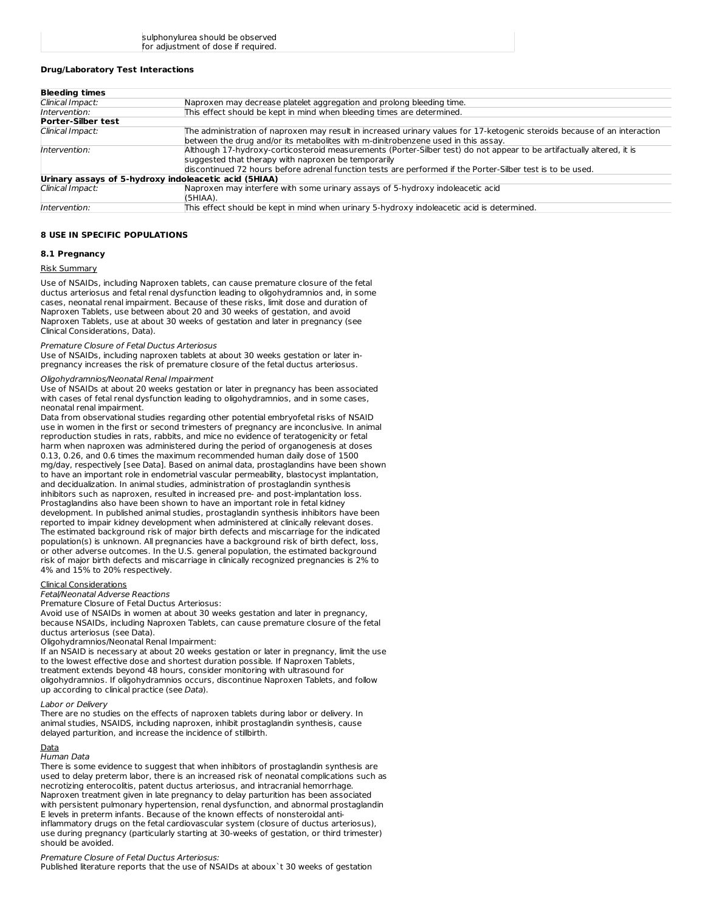## **Drug/Laboratory Test Interactions**

| <b>Bleeding times</b>                                 |                                                                                                                           |  |  |
|-------------------------------------------------------|---------------------------------------------------------------------------------------------------------------------------|--|--|
| Clinical Impact:                                      | Naproxen may decrease platelet aggregation and prolong bleeding time.                                                     |  |  |
| Intervention:                                         | This effect should be kept in mind when bleeding times are determined.                                                    |  |  |
| <b>Porter-Silber test</b>                             |                                                                                                                           |  |  |
| Clinical Impact:                                      | The administration of naproxen may result in increased urinary values for 17-ketogenic steroids because of an interaction |  |  |
|                                                       | between the drug and/or its metabolites with m-dinitrobenzene used in this assay.                                         |  |  |
| Intervention:                                         | Although 17-hydroxy-corticosteroid measurements (Porter-Silber test) do not appear to be artifactually altered, it is     |  |  |
|                                                       | suggested that therapy with naproxen be temporarily                                                                       |  |  |
|                                                       | discontinued 72 hours before adrenal function tests are performed if the Porter-Silber test is to be used.                |  |  |
| Urinary assays of 5-hydroxy indoleacetic acid (5HIAA) |                                                                                                                           |  |  |
| Clinical Impact:                                      | Naproxen may interfere with some urinary assays of 5-hydroxy indoleacetic acid                                            |  |  |
|                                                       | (5HIAA).                                                                                                                  |  |  |
| Intervention:                                         | This effect should be kept in mind when urinary 5-hydroxy indoleacetic acid is determined.                                |  |  |

# **8 USE IN SPECIFIC POPULATIONS**

#### **8.1 Pregnancy**

#### Risk Summary

Use of NSAIDs, including Naproxen tablets, can cause premature closure of the fetal ductus arteriosus and fetal renal dysfunction leading to oligohydramnios and, in some cases, neonatal renal impairment. Because of these risks, limit dose and duration of Naproxen Tablets, use between about 20 and 30 weeks of gestation, and avoid Naproxen Tablets, use at about 30 weeks of gestation and later in pregnancy (see Clinical Considerations, Data).

## Premature Closure of Fetal Ductus Arteriosus

Use of NSAIDs, including naproxen tablets at about 30 weeks gestation or later inpregnancy increases the risk of premature closure of the fetal ductus arteriosus.

## Oligohydramnios/Neonatal Renal Impairment

Use of NSAIDs at about 20 weeks gestation or later in pregnancy has been associated with cases of fetal renal dysfunction leading to oligohydramnios, and in some cases, neonatal renal impairment.

Data from observational studies regarding other potential embryofetal risks of NSAID use in women in the first or second trimesters of pregnancy are inconclusive. In animal reproduction studies in rats, rabbits, and mice no evidence of teratogenicity or fetal harm when naproxen was administered during the period of organogenesis at doses 0.13, 0.26, and 0.6 times the maximum recommended human daily dose of 1500 mg/day, respectively [see Data]. Based on animal data, prostaglandins have been shown to have an important role in endometrial vascular permeability, blastocyst implantation, and decidualization. In animal studies, administration of prostaglandin synthesis inhibitors such as naproxen, resulted in increased pre- and post-implantation loss. Prostaglandins also have been shown to have an important role in fetal kidney development. In published animal studies, prostaglandin synthesis inhibitors have been reported to impair kidney development when administered at clinically relevant doses. The estimated background risk of major birth defects and miscarriage for the indicated population(s) is unknown. All pregnancies have a background risk of birth defect, loss, or other adverse outcomes. In the U.S. general population, the estimated background risk of major birth defects and miscarriage in clinically recognized pregnancies is 2% to 4% and 15% to 20% respectively.

# Clinical Considerations

Fetal/Neonatal Adverse Reactions

Premature Closure of Fetal Ductus Arteriosus: Avoid use of NSAIDs in women at about 30 weeks gestation and later in pregnancy, because NSAIDs, including Naproxen Tablets, can cause premature closure of the fetal

ductus arteriosus (see Data). Oligohydramnios/Neonatal Renal Impairment:

If an NSAID is necessary at about 20 weeks gestation or later in pregnancy, limit the use to the lowest effective dose and shortest duration possible. If Naproxen Tablets, treatment extends beyond 48 hours, consider monitoring with ultrasound for oligohydramnios. If oligohydramnios occurs, discontinue Naproxen Tablets, and follow up according to clinical practice (see Data).

#### Labor or Delivery

There are no studies on the effects of naproxen tablets during labor or delivery. In animal studies, NSAIDS, including naproxen, inhibit prostaglandin synthesis, cause delayed parturition, and increase the incidence of stillbirth.

# Data

Human Data

There is some evidence to suggest that when inhibitors of prostaglandin synthesis are used to delay preterm labor, there is an increased risk of neonatal complications such as necrotizing enterocolitis, patent ductus arteriosus, and intracranial hemorrhage. Naproxen treatment given in late pregnancy to delay parturition has been associated with persistent pulmonary hypertension, renal dysfunction, and abnormal prostaglandin E levels in preterm infants. Because of the known effects of nonsteroidal antiinflammatory drugs on the fetal cardiovascular system (closure of ductus arteriosus), use during pregnancy (particularly starting at 30-weeks of gestation, or third trimester) should be avoided.

#### Premature Closure of Fetal Ductus Arteriosus:

Published literature reports that the use of NSAIDs at aboux`t 30 weeks of gestation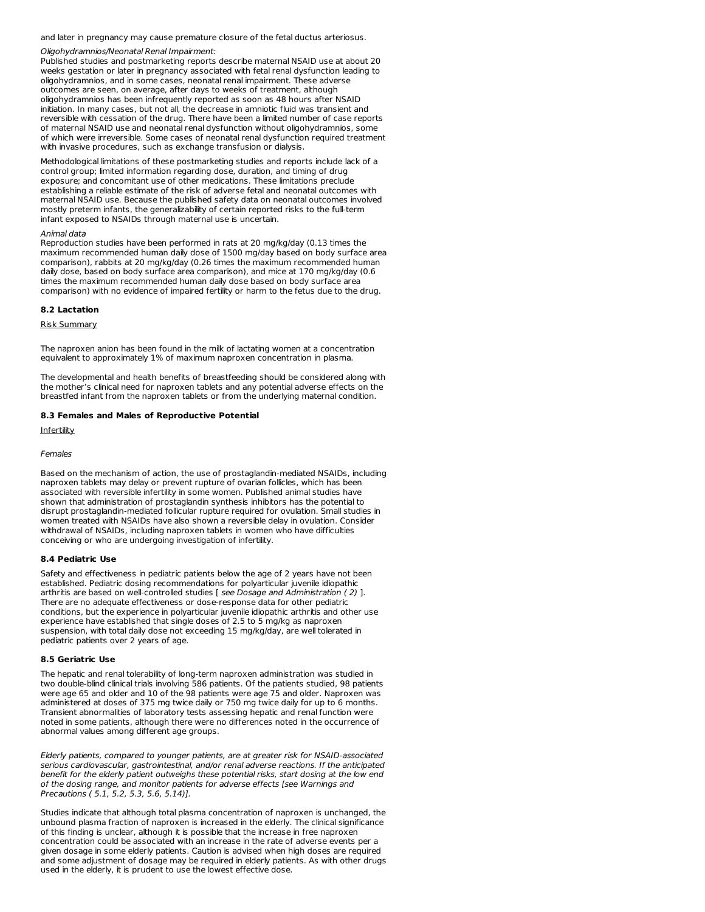and later in pregnancy may cause premature closure of the fetal ductus arteriosus.

#### Oligohydramnios/Neonatal Renal Impairment:

Published studies and postmarketing reports describe maternal NSAID use at about 20 weeks gestation or later in pregnancy associated with fetal renal dysfunction leading to oligohydramnios, and in some cases, neonatal renal impairment. These adverse outcomes are seen, on average, after days to weeks of treatment, although oligohydramnios has been infrequently reported as soon as 48 hours after NSAID initiation. In many cases, but not all, the decrease in amniotic fluid was transient and reversible with cessation of the drug. There have been a limited number of case reports of maternal NSAID use and neonatal renal dysfunction without oligohydramnios, some of which were irreversible. Some cases of neonatal renal dysfunction required treatment with invasive procedures, such as exchange transfusion or dialysis.

Methodological limitations of these postmarketing studies and reports include lack of a control group; limited information regarding dose, duration, and timing of drug exposure; and concomitant use of other medications. These limitations preclude establishing a reliable estimate of the risk of adverse fetal and neonatal outcomes with maternal NSAID use. Because the published safety data on neonatal outcomes involved mostly preterm infants, the generalizability of certain reported risks to the full-term infant exposed to NSAIDs through maternal use is uncertain.

## Animal data

Reproduction studies have been performed in rats at 20 mg/kg/day (0.13 times the maximum recommended human daily dose of 1500 mg/day based on body surface area comparison), rabbits at 20 mg/kg/day (0.26 times the maximum recommended human daily dose, based on body surface area comparison), and mice at 170 mg/kg/day (0.6 times the maximum recommended human daily dose based on body surface area comparison) with no evidence of impaired fertility or harm to the fetus due to the drug.

## **8.2 Lactation**

Risk Summary

The naproxen anion has been found in the milk of lactating women at a concentration equivalent to approximately 1% of maximum naproxen concentration in plasma.

The developmental and health benefits of breastfeeding should be considered along with the mother's clinical need for naproxen tablets and any potential adverse effects on the breastfed infant from the naproxen tablets or from the underlying maternal condition.

### **8.3 Females and Males of Reproductive Potential**

Infertility

## Females

Based on the mechanism of action, the use of prostaglandin-mediated NSAIDs, including naproxen tablets may delay or prevent rupture of ovarian follicles, which has been associated with reversible infertility in some women. Published animal studies have shown that administration of prostaglandin synthesis inhibitors has the potential to disrupt prostaglandin-mediated follicular rupture required for ovulation. Small studies in women treated with NSAIDs have also shown a reversible delay in ovulation. Consider withdrawal of NSAIDs, including naproxen tablets in women who have difficulties conceiving or who are undergoing investigation of infertility.

#### **8.4 Pediatric Use**

Safety and effectiveness in pediatric patients below the age of 2 years have not been established. Pediatric dosing recommendations for polyarticular juvenile idiopathic arthritis are based on well-controlled studies [ see Dosage and Administration (2) ]. There are no adequate effectiveness or dose-response data for other pediatric conditions, but the experience in polyarticular juvenile idiopathic arthritis and other use experience have established that single doses of 2.5 to 5 mg/kg as naproxen suspension, with total daily dose not exceeding 15 mg/kg/day, are well tolerated in pediatric patients over 2 years of age.

#### **8.5 Geriatric Use**

The hepatic and renal tolerability of long-term naproxen administration was studied in two double-blind clinical trials involving 586 patients. Of the patients studied, 98 patients were age 65 and older and 10 of the 98 patients were age 75 and older. Naproxen was administered at doses of 375 mg twice daily or 750 mg twice daily for up to 6 months. Transient abnormalities of laboratory tests assessing hepatic and renal function were noted in some patients, although there were no differences noted in the occurrence of abnormal values among different age groups.

Elderly patients, compared to younger patients, are at greater risk for NSAID-associated serious cardiovascular, gastrointestinal, and/or renal adverse reactions. If the anticipated benefit for the elderly patient outweighs these potential risks, start dosing at the low end of the dosing range, and monitor patients for adverse effects [see Warnings and Precautions ( 5.1, 5.2, 5.3, 5.6, 5.14)].

Studies indicate that although total plasma concentration of naproxen is unchanged, the unbound plasma fraction of naproxen is increased in the elderly. The clinical significance of this finding is unclear, although it is possible that the increase in free naproxen concentration could be associated with an increase in the rate of adverse events per a given dosage in some elderly patients. Caution is advised when high doses are required and some adjustment of dosage may be required in elderly patients. As with other drugs used in the elderly, it is prudent to use the lowest effective dose.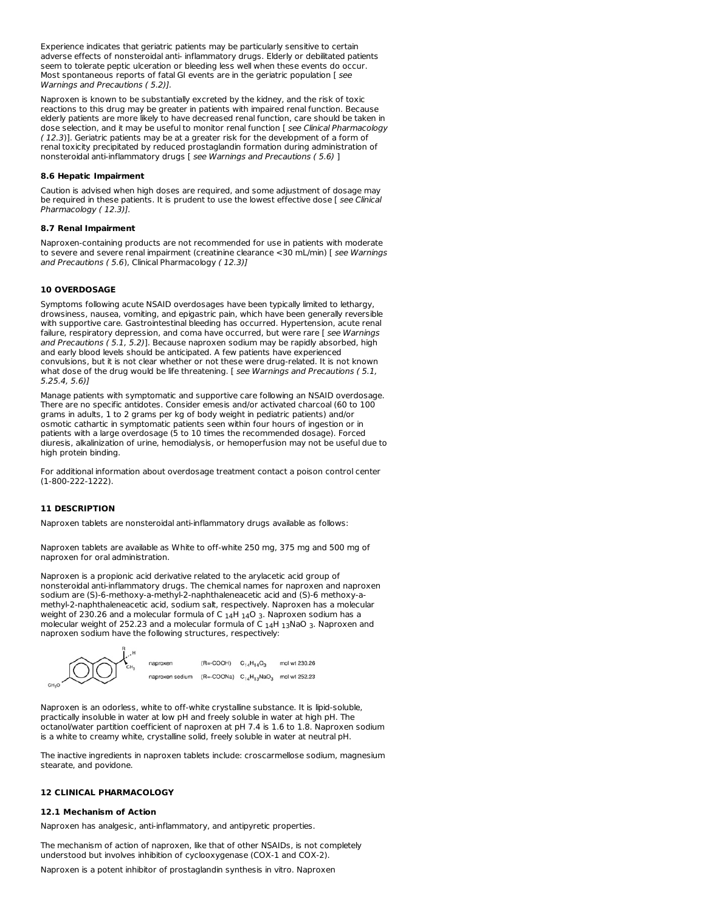Experience indicates that geriatric patients may be particularly sensitive to certain adverse effects of nonsteroidal anti- inflammatory drugs. Elderly or debilitated patients seem to tolerate peptic ulceration or bleeding less well when these events do occur. Most spontaneous reports of fatal GI events are in the geriatric population [ see Warnings and Precautions ( 5.2)].

Naproxen is known to be substantially excreted by the kidney, and the risk of toxic reactions to this drug may be greater in patients with impaired renal function. Because elderly patients are more likely to have decreased renal function, care should be taken in dose selection, and it may be useful to monitor renal function [ see Clinical Pharmacology ( 12.3)]. Geriatric patients may be at a greater risk for the development of a form of renal toxicity precipitated by reduced prostaglandin formation during administration of nonsteroidal anti-inflammatory drugs [ see Warnings and Precautions ( 5.6) ]

#### **8.6 Hepatic Impairment**

Caution is advised when high doses are required, and some adjustment of dosage may be required in these patients. It is prudent to use the lowest effective dose [ see Clinical Pharmacology ( 12.3)].

## **8.7 Renal Impairment**

Naproxen-containing products are not recommended for use in patients with moderate to severe and severe renal impairment (creatinine clearance <30 mL/min) [ see Warnings and Precautions ( 5.6), Clinical Pharmacology ( 12.3)]

# **10 OVERDOSAGE**

Symptoms following acute NSAID overdosages have been typically limited to lethargy, drowsiness, nausea, vomiting, and epigastric pain, which have been generally reversible with supportive care. Gastrointestinal bleeding has occurred. Hypertension, acute renal failure, respiratory depression, and coma have occurred, but were rare [ see Warnings and Precautions ( 5.1, 5.2)]. Because naproxen sodium may be rapidly absorbed, high and early blood levels should be anticipated. A few patients have experienced convulsions, but it is not clear whether or not these were drug-related. It is not known what dose of the drug would be life threatening. [ see Warnings and Precautions (5.1, 5.25.4, 5.6)]

Manage patients with symptomatic and supportive care following an NSAID overdosage. There are no specific antidotes. Consider emesis and/or activated charcoal (60 to 100 grams in adults, 1 to 2 grams per kg of body weight in pediatric patients) and/or osmotic cathartic in symptomatic patients seen within four hours of ingestion or in patients with a large overdosage (5 to 10 times the recommended dosage). Forced diuresis, alkalinization of urine, hemodialysis, or hemoperfusion may not be useful due to high protein binding.

For additional information about overdosage treatment contact a poison control center (1-800-222-1222).

## **11 DESCRIPTION**

Naproxen tablets are nonsteroidal anti-inflammatory drugs available as follows:

Naproxen tablets are available as White to off-white 250 mg, 375 mg and 500 mg of naproxen for oral administration.

Naproxen is a propionic acid derivative related to the arylacetic acid group of nonsteroidal anti-inflammatory drugs. The chemical names for naproxen and naproxen sodium are (S)-6-methoxy-a-methyl-2-naphthaleneacetic acid and (S)-6 methoxy-a methyl-2-naphthaleneacetic acid, sodium salt, respectively. Naproxen has a molecular weight of 230.26 and a molecular formula of C  $_{14}$ H  $_{14}$ O 3. Naproxen sodium has a weight of 230.26 and a molecular formula of C <sub>14</sub>H <sub>14</sub>O 3. Naproxen sodium has a<br>molecular weight of 252.23 and a molecular formula of C <sub>14</sub>H <sub>13</sub>NaO 3. Naproxen and naproxen sodium have the following structures, respectively:  $14$ H 13NaO 3



Naproxen is an odorless, white to off-white crystalline substance. It is lipid-soluble, practically insoluble in water at low pH and freely soluble in water at high pH. The octanol/water partition coefficient of naproxen at pH 7.4 is 1.6 to 1.8. Naproxen sodium is a white to creamy white, crystalline solid, freely soluble in water at neutral pH.

The inactive ingredients in naproxen tablets include: croscarmellose sodium, magnesium stearate, and povidone.

# **12 CLINICAL PHARMACOLOGY**

## **12.1 Mechanism of Action**

Naproxen has analgesic, anti-inflammatory, and antipyretic properties.

The mechanism of action of naproxen, like that of other NSAIDs, is not completely understood but involves inhibition of cyclooxygenase (COX-1 and COX-2).

Naproxen is a potent inhibitor of prostaglandin synthesis in vitro. Naproxen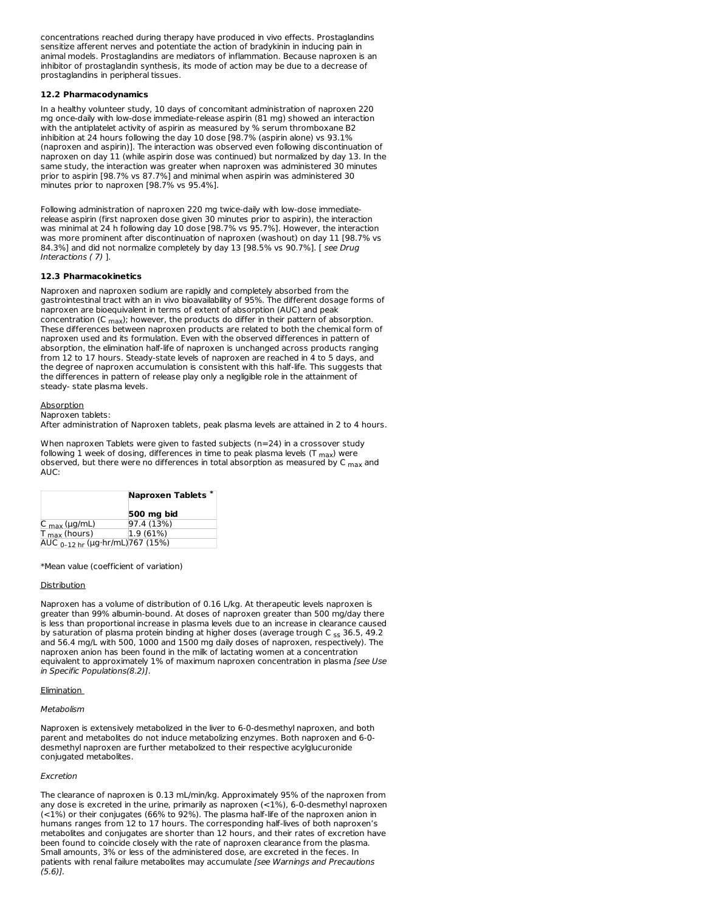concentrations reached during therapy have produced in vivo effects. Prostaglandins sensitize afferent nerves and potentiate the action of bradykinin in inducing pain in animal models. Prostaglandins are mediators of inflammation. Because naproxen is an inhibitor of prostaglandin synthesis, its mode of action may be due to a decrease of prostaglandins in peripheral tissues.

## **12.2 Pharmacodynamics**

In a healthy volunteer study, 10 days of concomitant administration of naproxen 220 mg once-daily with low-dose immediate-release aspirin (81 mg) showed an interaction with the antiplatelet activity of aspirin as measured by % serum thromboxane B2 inhibition at 24 hours following the day 10 dose [98.7% (aspirin alone) vs 93.1% (naproxen and aspirin)]. The interaction was observed even following discontinuation of naproxen on day 11 (while aspirin dose was continued) but normalized by day 13. In the same study, the interaction was greater when naproxen was administered 30 minutes prior to aspirin [98.7% vs 87.7%] and minimal when aspirin was administered 30 minutes prior to naproxen [98.7% vs 95.4%].

Following administration of naproxen 220 mg twice-daily with low-dose immediaterelease aspirin (first naproxen dose given 30 minutes prior to aspirin), the interaction was minimal at 24 h following day 10 dose [98.7% vs 95.7%]. However, the interaction was more prominent after discontinuation of naproxen (washout) on day 11 [98.7% vs 84.3%] and did not normalize completely by day 13 [98.5% vs 90.7%]. [ see Drug Interactions ( 7) ].

## **12.3 Pharmacokinetics**

Naproxen and naproxen sodium are rapidly and completely absorbed from the gastrointestinal tract with an in vivo bioavailability of 95%. The different dosage forms of naproxen are bioequivalent in terms of extent of absorption (AUC) and peak concentration (C  $_{\sf max}$ ); however, the products do differ in their pattern of absorption. These differences between naproxen products are related to both the chemical form of naproxen used and its formulation. Even with the observed differences in pattern of absorption, the elimination half-life of naproxen is unchanged across products ranging from 12 to 17 hours. Steady-state levels of naproxen are reached in 4 to 5 days, and the degree of naproxen accumulation is consistent with this half-life. This suggests that the differences in pattern of release play only a negligible role in the attainment of steady- state plasma levels.

#### **Absorption**

#### Naproxen tablets:

After administration of Naproxen tablets, peak plasma levels are attained in 2 to 4 hours.

When naproxen Tablets were given to fasted subjects (n=24) in a crossover study following 1 week of dosing, differences in time to peak plasma levels (T <sub>max</sub>) were observed, but there were no differences in total absorption as measured by C <sub>max</sub> and AUC:

|                                             | <b>Naproxen Tablets</b> |  |
|---------------------------------------------|-------------------------|--|
|                                             | 500 mg bid              |  |
| $C_{\text{max}}$ (µg/mL)                    | 97.4 (13%)              |  |
| $T_{\text{max}}$ (hours)                    | 1.9 (61%)               |  |
| AUC <sub>0-12 hr</sub> (µg·hr/mL) 767 (15%) |                         |  |

\*Mean value (coefficient of variation)

#### **Distribution**

Naproxen has a volume of distribution of 0.16 L/kg. At therapeutic levels naproxen is greater than 99% albumin-bound. At doses of naproxen greater than 500 mg/day there is less than proportional increase in plasma levels due to an increase in clearance caused by saturation of plasma protein binding at higher doses (average trough C <sub>ss</sub> 36.5, 49.2 and 56.4 mg/L with 500, 1000 and 1500 mg daily doses of naproxen, respectively). The naproxen anion has been found in the milk of lactating women at a concentration equivalent to approximately 1% of maximum naproxen concentration in plasma [see Use in Specific Populations(8.2)].

## **Elimination**

#### Metabolism

Naproxen is extensively metabolized in the liver to 6-0-desmethyl naproxen, and both parent and metabolites do not induce metabolizing enzymes. Both naproxen and 6-0 desmethyl naproxen are further metabolized to their respective acylglucuronide conjugated metabolites.

#### Excretion

The clearance of naproxen is 0.13 mL/min/kg. Approximately 95% of the naproxen from any dose is excreted in the urine, primarily as naproxen (<1%), 6-0-desmethyl naproxen (<1%) or their conjugates (66% to 92%). The plasma half-life of the naproxen anion in humans ranges from 12 to 17 hours. The corresponding half-lives of both naproxen's metabolites and conjugates are shorter than 12 hours, and their rates of excretion have been found to coincide closely with the rate of naproxen clearance from the plasma. Small amounts, 3% or less of the administered dose, are excreted in the feces. In patients with renal failure metabolites may accumulate [see Warnings and Precautions  $(5.6)$ ].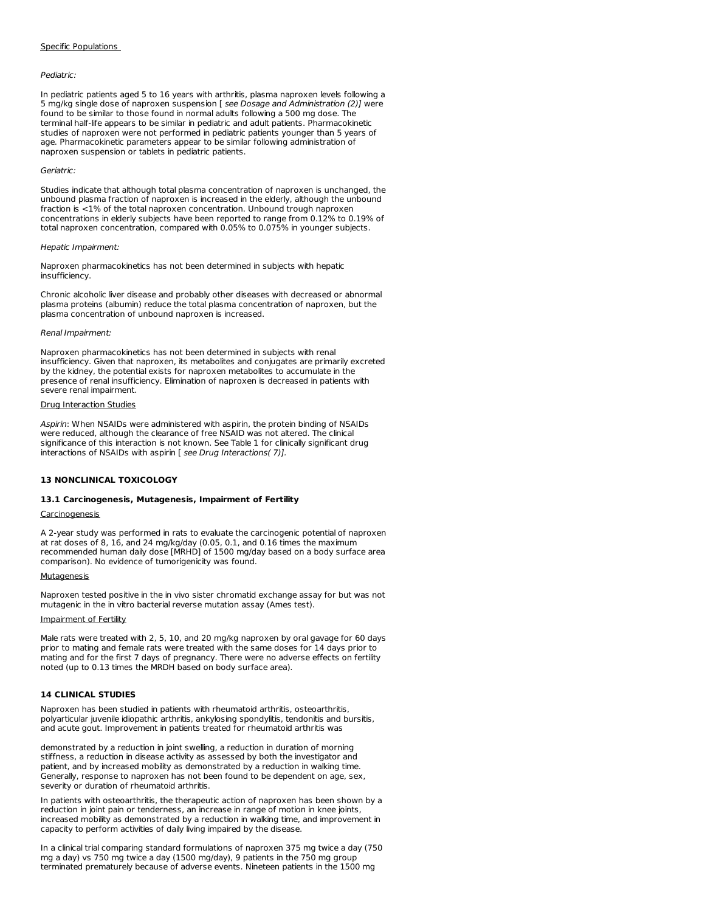#### Specific Populations

### Pediatric:

In pediatric patients aged 5 to 16 years with arthritis, plasma naproxen levels following a 5 mg/kg single dose of naproxen suspension [ see Dosage and Administration (2)] were found to be similar to those found in normal adults following a 500 mg dose. The terminal half-life appears to be similar in pediatric and adult patients. Pharmacokinetic studies of naproxen were not performed in pediatric patients younger than 5 years of age. Pharmacokinetic parameters appear to be similar following administration of naproxen suspension or tablets in pediatric patients.

## Geriatric:

Studies indicate that although total plasma concentration of naproxen is unchanged, the unbound plasma fraction of naproxen is increased in the elderly, although the unbound fraction is <1% of the total naproxen concentration. Unbound trough naproxen concentrations in elderly subjects have been reported to range from 0.12% to 0.19% of total naproxen concentration, compared with 0.05% to 0.075% in younger subjects.

#### Hepatic Impairment:

Naproxen pharmacokinetics has not been determined in subjects with hepatic insufficiency.

Chronic alcoholic liver disease and probably other diseases with decreased or abnormal plasma proteins (albumin) reduce the total plasma concentration of naproxen, but the plasma concentration of unbound naproxen is increased.

#### Renal Impairment:

Naproxen pharmacokinetics has not been determined in subjects with renal insufficiency. Given that naproxen, its metabolites and conjugates are primarily excreted by the kidney, the potential exists for naproxen metabolites to accumulate in the presence of renal insufficiency. Elimination of naproxen is decreased in patients with severe renal impairment.

## Drug Interaction Studies

Aspirin: When NSAIDs were administered with aspirin, the protein binding of NSAIDs were reduced, although the clearance of free NSAID was not altered. The clinical significance of this interaction is not known. See Table 1 for clinically significant drug interactions of NSAIDs with aspirin [ see Drug Interactions( 7)].

#### **13 NONCLINICAL TOXICOLOGY**

## **13.1 Carcinogenesis, Mutagenesis, Impairment of Fertility**

## **Carcinogenesis**

A 2-year study was performed in rats to evaluate the carcinogenic potential of naproxen at rat doses of 8, 16, and 24 mg/kg/day (0.05, 0.1, and 0.16 times the maximum recommended human daily dose [MRHD] of 1500 mg/day based on a body surface area comparison). No evidence of tumorigenicity was found.

#### **Mutagenesis**

Naproxen tested positive in the in vivo sister chromatid exchange assay for but was not mutagenic in the in vitro bacterial reverse mutation assay (Ames test).

#### Impairment of Fertility

Male rats were treated with 2, 5, 10, and 20 mg/kg naproxen by oral gavage for 60 days prior to mating and female rats were treated with the same doses for 14 days prior to mating and for the first 7 days of pregnancy. There were no adverse effects on fertility noted (up to 0.13 times the MRDH based on body surface area).

## **14 CLINICAL STUDIES**

Naproxen has been studied in patients with rheumatoid arthritis, osteoarthritis, polyarticular juvenile idiopathic arthritis, ankylosing spondylitis, tendonitis and bursitis, and acute gout. Improvement in patients treated for rheumatoid arthritis was

demonstrated by a reduction in joint swelling, a reduction in duration of morning stiffness, a reduction in disease activity as assessed by both the investigator and patient, and by increased mobility as demonstrated by a reduction in walking time. Generally, response to naproxen has not been found to be dependent on age, sex, severity or duration of rheumatoid arthritis.

In patients with osteoarthritis, the therapeutic action of naproxen has been shown by a reduction in joint pain or tenderness, an increase in range of motion in knee joints, increased mobility as demonstrated by a reduction in walking time, and improvement in capacity to perform activities of daily living impaired by the disease.

In a clinical trial comparing standard formulations of naproxen 375 mg twice a day (750 mg a day) vs 750 mg twice a day (1500 mg/day), 9 patients in the 750 mg group terminated prematurely because of adverse events. Nineteen patients in the 1500 mg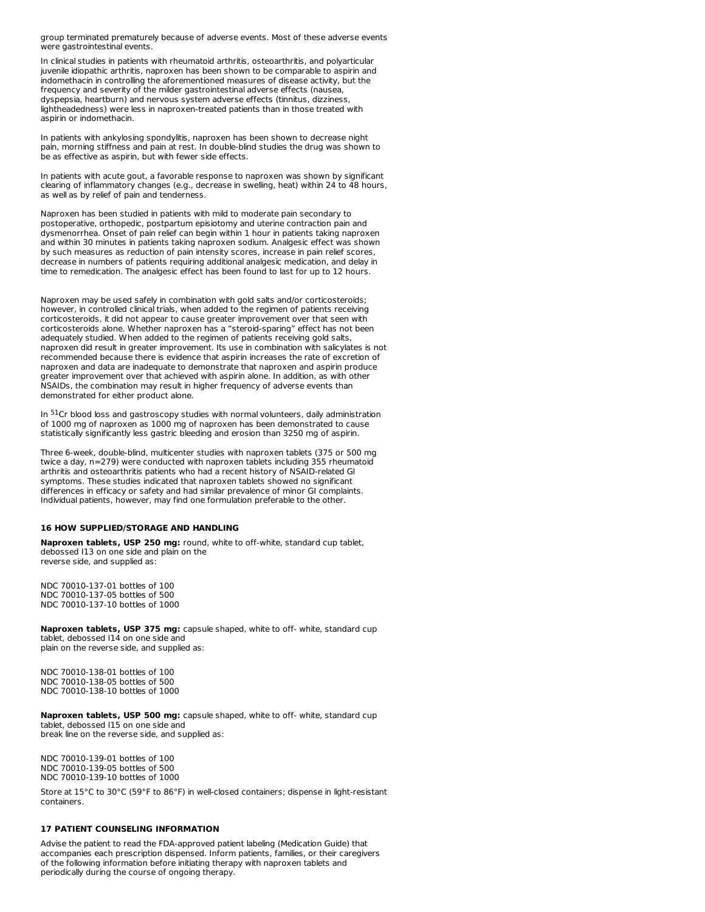group terminated prematurely because of adverse events. Most of these adverse events were gastrointestinal events.

In clinical studies in patients with rheumatoid arthritis, osteoarthritis, and polyarticular juvenile idiopathic arthritis, naproxen has been shown to be comparable to aspirin and indomethacin in controlling the aforementioned measures of disease activity, but the frequency and severity of the milder gastrointestinal adverse effects (nausea, dyspepsia, heartburn) and nervous system adverse effects (tinnitus, dizziness, lightheadedness) were less in naproxen-treated patients than in those treated with aspirin or indomethacin.

In patients with ankylosing spondylitis, naproxen has been shown to decrease night pain, morning stiffness and pain at rest. In double-blind studies the drug was shown to be as effective as aspirin, but with fewer side effects.

In patients with acute gout, a favorable response to naproxen was shown by significant clearing of inflammatory changes (e.g., decrease in swelling, heat) within 24 to 48 hours, as well as by relief of pain and tenderness.

Naproxen has been studied in patients with mild to moderate pain secondary to postoperative, orthopedic, postpartum episiotomy and uterine contraction pain and dysmenorrhea. Onset of pain relief can begin within 1 hour in patients taking naproxen and within 30 minutes in patients taking naproxen sodium. Analgesic effect was shown by such measures as reduction of pain intensity scores, increase in pain relief scores, decrease in numbers of patients requiring additional analgesic medication, and delay in time to remedication. The analgesic effect has been found to last for up to 12 hours.

Naproxen may be used safely in combination with gold salts and/or corticosteroids; however, in controlled clinical trials, when added to the regimen of patients receiving corticosteroids, it did not appear to cause greater improvement over that seen with corticosteroids alone. Whether naproxen has a "steroid-sparing" effect has not been adequately studied. When added to the regimen of patients receiving gold salts, naproxen did result in greater improvement. Its use in combination with salicylates is not recommended because there is evidence that aspirin increases the rate of excretion of naproxen and data are inadequate to demonstrate that naproxen and aspirin produce greater improvement over that achieved with aspirin alone. In addition, as with other NSAIDs, the combination may result in higher frequency of adverse events than demonstrated for either product alone.

In  $51$ Cr blood loss and gastroscopy studies with normal volunteers, daily administration of 1000 mg of naproxen as 1000 mg of naproxen has been demonstrated to cause statistically significantly less gastric bleeding and erosion than 3250 mg of aspirin.

Three 6-week, double-blind, multicenter studies with naproxen tablets (375 or 500 mg twice a day, n=279) were conducted with naproxen tablets including 355 rheumatoid arthritis and osteoarthritis patients who had a recent history of NSAID-related GI symptoms. These studies indicated that naproxen tablets showed no significant differences in efficacy or safety and had similar prevalence of minor GI complaints. Individual patients, however, may find one formulation preferable to the other.

#### **16 HOW SUPPLIED/STORAGE AND HANDLING**

**Naproxen tablets, USP 250 mg:** round, white to off-white, standard cup tablet, debossed I13 on one side and plain on the reverse side, and supplied as:

NDC 70010-137-01 bottles of 100 NDC 70010-137-05 bottles of 500 NDC 70010-137-10 bottles of 1000

**Naproxen tablets, USP 375 mg:** capsule shaped, white to off- white, standard cup tablet, debossed I14 on one side and plain on the reverse side, and supplied as:

NDC 70010-138-01 bottles of 100 NDC 70010-138-05 bottles of 500 NDC 70010-138-10 bottles of 1000

**Naproxen tablets, USP 500 mg:** capsule shaped, white to off- white, standard cup tablet, debossed I15 on one side and break line on the reverse side, and supplied as:

NDC 70010-139-01 bottles of 100 NDC 70010-139-05 bottles of 500 NDC 70010-139-10 bottles of 1000

Store at 15°C to 30°C (59°F to 86°F) in well-closed containers; dispense in light-resistant containers.

## **17 PATIENT COUNSELING INFORMATION**

Advise the patient to read the FDA-approved patient labeling (Medication Guide) that accompanies each prescription dispensed. Inform patients, families, or their caregivers of the following information before initiating therapy with naproxen tablets and periodically during the course of ongoing therapy.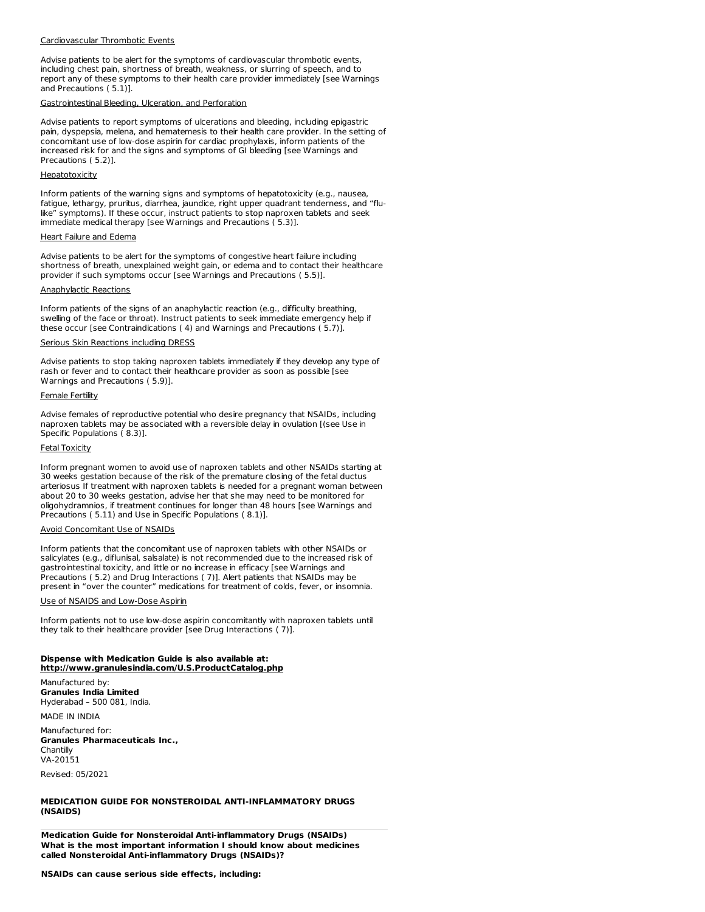#### Cardiovascular Thrombotic Events

Advise patients to be alert for the symptoms of cardiovascular thrombotic events, including chest pain, shortness of breath, weakness, or slurring of speech, and to report any of these symptoms to their health care provider immediately [see Warnings and Precautions ( 5.1)].

#### Gastrointestinal Bleeding, Ulceration, and Perforation

Advise patients to report symptoms of ulcerations and bleeding, including epigastric pain, dyspepsia, melena, and hematemesis to their health care provider. In the setting of concomitant use of low-dose aspirin for cardiac prophylaxis, inform patients of the increased risk for and the signs and symptoms of GI bleeding [see Warnings and Precautions ( 5.2)].

## Hepatotoxicity

Inform patients of the warning signs and symptoms of hepatotoxicity (e.g., nausea, fatigue, lethargy, pruritus, diarrhea, jaundice, right upper quadrant tenderness, and "flulike" symptoms). If these occur, instruct patients to stop naproxen tablets and seek immediate medical therapy [see Warnings and Precautions ( 5.3)].

#### Heart Failure and Edema

Advise patients to be alert for the symptoms of congestive heart failure including shortness of breath, unexplained weight gain, or edema and to contact their healthcare provider if such symptoms occur [see Warnings and Precautions ( 5.5)].

## Anaphylactic Reactions

Inform patients of the signs of an anaphylactic reaction (e.g., difficulty breathing, swelling of the face or throat). Instruct patients to seek immediate emergency help if these occur [see Contraindications ( 4) and Warnings and Precautions ( 5.7)].

## Serious Skin Reactions including DRESS

Advise patients to stop taking naproxen tablets immediately if they develop any type of rash or fever and to contact their healthcare provider as soon as possible [see Warnings and Precautions ( 5.9)].

## Female Fertility

Advise females of reproductive potential who desire pregnancy that NSAIDs, including naproxen tablets may be associated with a reversible delay in ovulation [(see Use in Specific Populations ( 8.3)].

#### Fetal Toxicity

Inform pregnant women to avoid use of naproxen tablets and other NSAIDs starting at 30 weeks gestation because of the risk of the premature closing of the fetal ductus arteriosus If treatment with naproxen tablets is needed for a pregnant woman between about 20 to 30 weeks gestation, advise her that she may need to be monitored for oligohydramnios, if treatment continues for longer than 48 hours [see Warnings and Precautions ( 5.11) and Use in Specific Populations ( 8.1)].

## Avoid Concomitant Use of NSAIDs

Inform patients that the concomitant use of naproxen tablets with other NSAIDs or salicylates (e.g., diflunisal, salsalate) is not recommended due to the increased risk of gastrointestinal toxicity, and little or no increase in efficacy [see Warnings and Precautions ( 5.2) and Drug Interactions ( 7)]. Alert patients that NSAIDs may be present in "over the counter" medications for treatment of colds, fever, or insomnia.

#### Use of NSAIDS and Low-Dose Aspirin

Inform patients not to use low-dose aspirin concomitantly with naproxen tablets until they talk to their healthcare provider [see Drug Interactions ( 7)].

## **Dispense with Medication Guide is also available at: http://www.granulesindia.com/U.S.ProductCatalog.php**

Manufactured by: **Granules India Limited** Hyderabad – 500 081, India.

MADE IN INDIA

Manufactured for: **Granules Pharmaceuticals Inc., Chantilly** VA-20151

Revised: 05/2021

# **MEDICATION GUIDE FOR NONSTEROIDAL ANTI-INFLAMMATORY DRUGS (NSAIDS)**

**Medication Guide for Nonsteroidal Anti-inflammatory Drugs (NSAIDs) What is the most important information I should know about medicines called Nonsteroidal Anti-inflammatory Drugs (NSAIDs)?**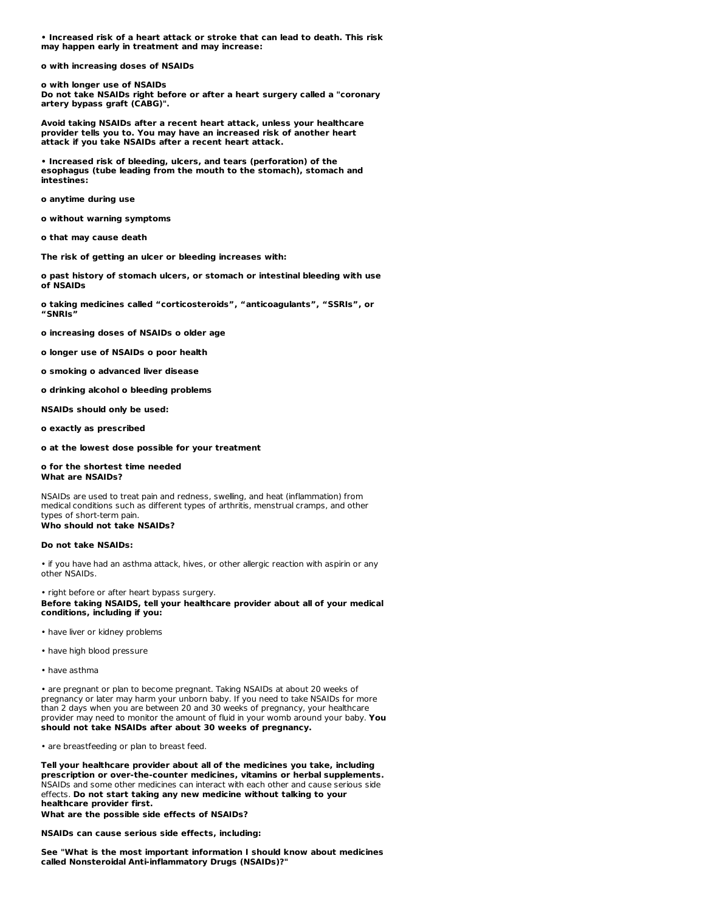**• Increased risk of a heart attack or stroke that can lead to death. This risk may happen early in treatment and may increase:**

**o with increasing doses of NSAIDs**

**o with longer use of NSAIDs Do not take NSAIDs right before or after a heart surgery called a "coronary artery bypass graft (CABG)".**

**Avoid taking NSAIDs after a recent heart attack, unless your healthcare provider tells you to. You may have an increased risk of another heart attack if you take NSAIDs after a recent heart attack.**

**• Increased risk of bleeding, ulcers, and tears (perforation) of the esophagus (tube leading from the mouth to the stomach), stomach and intestines:**

**o anytime during use**

**o without warning symptoms**

**o that may cause death**

**The risk of getting an ulcer or bleeding increases with:**

**o past history of stomach ulcers, or stomach or intestinal bleeding with use of NSAIDs**

**o taking medicines called "corticosteroids", "anticoagulants", "SSRIs", or "SNRIs"**

**o increasing doses of NSAIDs o older age**

**o longer use of NSAIDs o poor health**

**o smoking o advanced liver disease**

**o drinking alcohol o bleeding problems**

**NSAIDs should only be used:**

**o exactly as prescribed**

**o at the lowest dose possible for your treatment**

#### **o for the shortest time needed What are NSAIDs?**

NSAIDs are used to treat pain and redness, swelling, and heat (inflammation) from medical conditions such as different types of arthritis, menstrual cramps, and other types of short-term pain. **Who should not take NSAIDs?**

# **Do not take NSAIDs:**

• if you have had an asthma attack, hives, or other allergic reaction with aspirin or any other NSAIDs.

• right before or after heart bypass surgery. **Before taking NSAIDS, tell your healthcare provider about all of your medical conditions, including if you:**

- have liver or kidney problems
- have high blood pressure
- have asthma

• are pregnant or plan to become pregnant. Taking NSAIDs at about 20 weeks of pregnancy or later may harm your unborn baby. If you need to take NSAIDs for more than 2 days when you are between 20 and 30 weeks of pregnancy, your healthcare provider may need to monitor the amount of fluid in your womb around your baby. **You should not take NSAIDs after about 30 weeks of pregnancy.**

• are breastfeeding or plan to breast feed.

**Tell your healthcare provider about all of the medicines you take, including prescription or over-the-counter medicines, vitamins or herbal supplements.** NSAIDs and some other medicines can interact with each other and cause serious side effects. **Do not start taking any new medicine without talking to your healthcare provider first.**

**What are the possible side effects of NSAIDs?**

**NSAIDs can cause serious side effects, including:**

**See "What is the most important information I should know about medicines called Nonsteroidal Anti-inflammatory Drugs (NSAIDs)?"**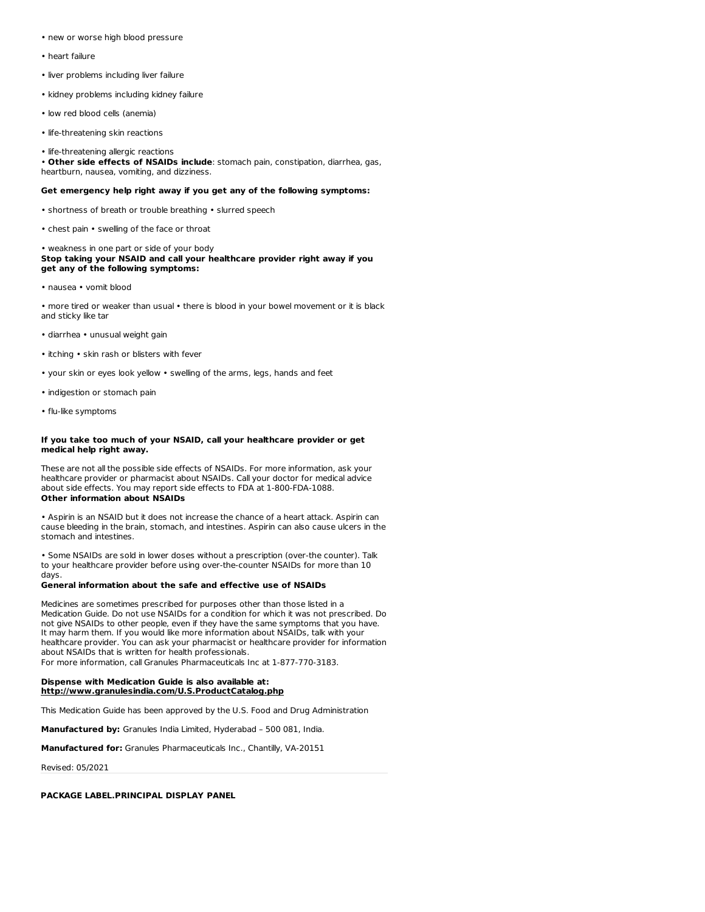- new or worse high blood pressure
- heart failure
- liver problems including liver failure
- kidney problems including kidney failure
- low red blood cells (anemia)
- life-threatening skin reactions
- life-threatening allergic reactions

• **Other side effects of NSAIDs include**: stomach pain, constipation, diarrhea, gas, heartburn, nausea, vomiting, and dizziness.

#### **Get emergency help right away if you get any of the following symptoms:**

- shortness of breath or trouble breathing slurred speech
- chest pain swelling of the face or throat

• weakness in one part or side of your body **Stop taking your NSAID and call your healthcare provider right away if you get any of the following symptoms:**

• nausea • vomit blood

• more tired or weaker than usual • there is blood in your bowel movement or it is black and sticky like tar

- diarrhea unusual weight gain
- itching skin rash or blisters with fever
- your skin or eyes look yellow swelling of the arms, legs, hands and feet
- indigestion or stomach pain
- flu-like symptoms

#### **If you take too much of your NSAID, call your healthcare provider or get medical help right away.**

These are not all the possible side effects of NSAIDs. For more information, ask your healthcare provider or pharmacist about NSAIDs. Call your doctor for medical advice about side effects. You may report side effects to FDA at 1-800-FDA-1088. **Other information about NSAIDs**

• Aspirin is an NSAID but it does not increase the chance of a heart attack. Aspirin can cause bleeding in the brain, stomach, and intestines. Aspirin can also cause ulcers in the stomach and intestines.

• Some NSAIDs are sold in lower doses without a prescription (over-the counter). Talk to your healthcare provider before using over-the-counter NSAIDs for more than 10 days.

#### **General information about the safe and effective use of NSAIDs**

Medicines are sometimes prescribed for purposes other than those listed in a Medication Guide. Do not use NSAIDs for a condition for which it was not prescribed. Do not give NSAIDs to other people, even if they have the same symptoms that you have. It may harm them. If you would like more information about NSAIDs, talk with your healthcare provider. You can ask your pharmacist or healthcare provider for information about NSAIDs that is written for health professionals.

For more information, call Granules Pharmaceuticals Inc at 1-877-770-3183.

## **Dispense with Medication Guide is also available at: http://www.granulesindia.com/U.S.ProductCatalog.php**

This Medication Guide has been approved by the U.S. Food and Drug Administration

**Manufactured by:** Granules India Limited, Hyderabad – 500 081, India.

**Manufactured for:** Granules Pharmaceuticals Inc., Chantilly, VA-20151

Revised: 05/2021

## **PACKAGE LABEL.PRINCIPAL DISPLAY PANEL**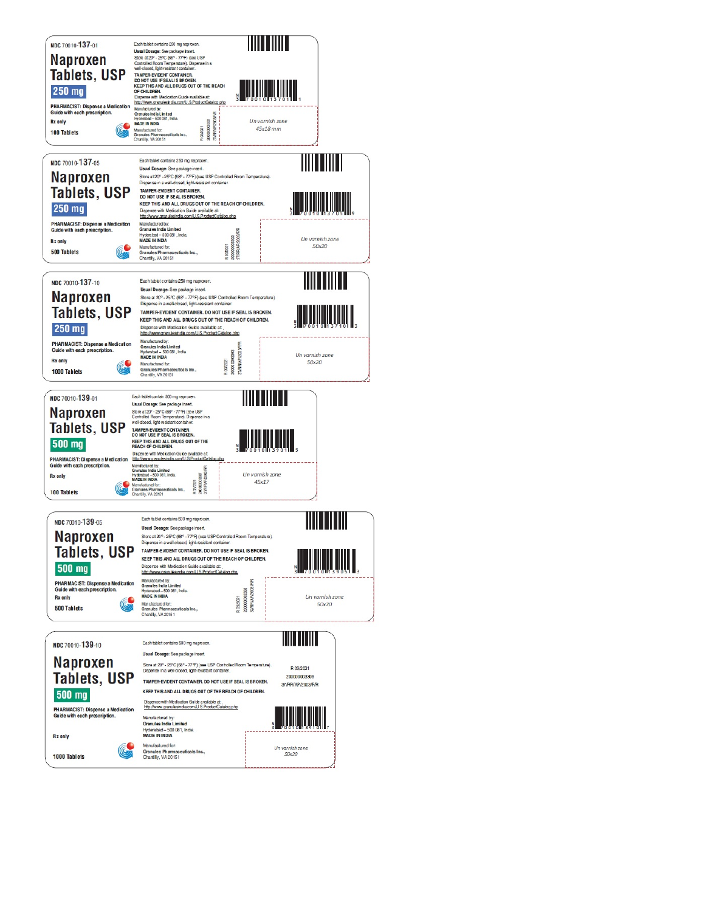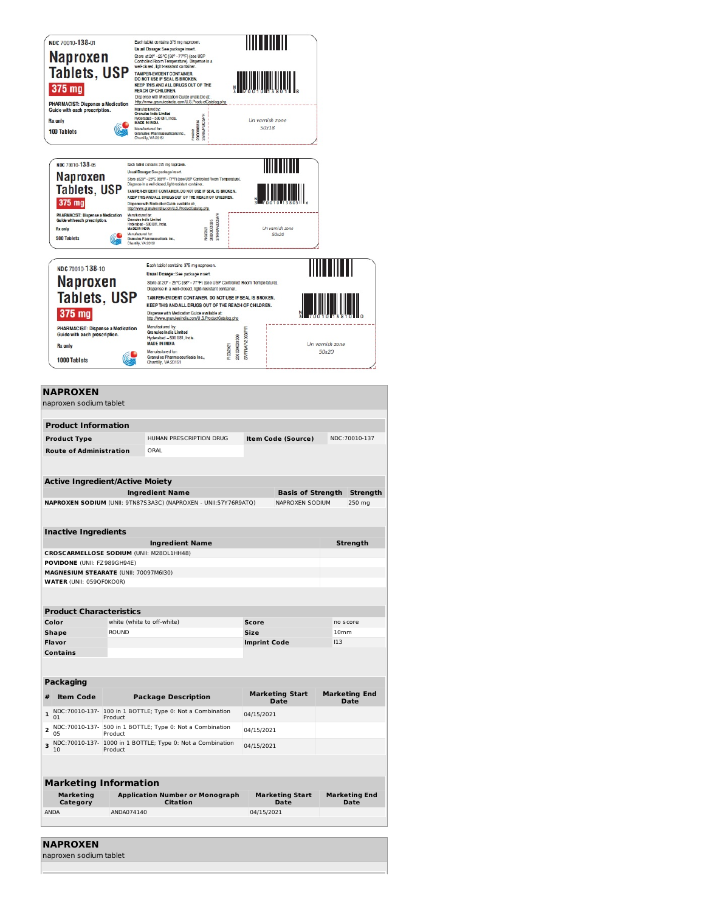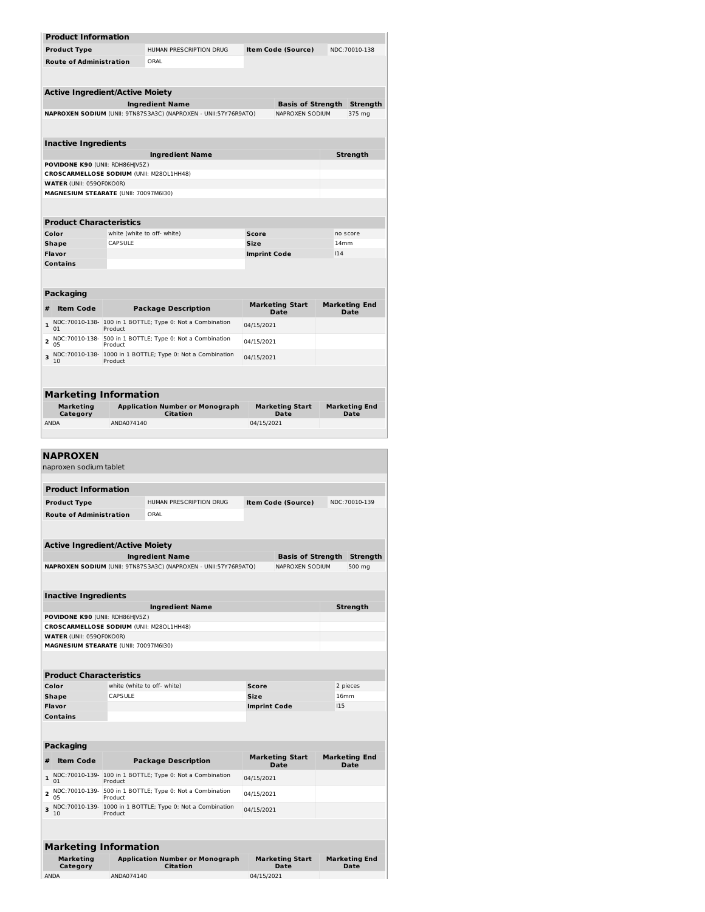| <b>Product Information</b>                                                  |                 |                                                                 |                                |     |                                     |  |
|-----------------------------------------------------------------------------|-----------------|-----------------------------------------------------------------|--------------------------------|-----|-------------------------------------|--|
| <b>Product Type</b>                                                         |                 | HUMAN PRESCRIPTION DRUG                                         | Item Code (Source)             |     | NDC:70010-138                       |  |
| <b>Route of Administration</b>                                              |                 | ORAL                                                            |                                |     |                                     |  |
|                                                                             |                 |                                                                 |                                |     |                                     |  |
| <b>Active Ingredient/Active Moiety</b>                                      |                 |                                                                 |                                |     |                                     |  |
|                                                                             |                 | <b>Ingredient Name</b>                                          | <b>Basis of Strength</b>       |     | <b>Strength</b>                     |  |
|                                                                             |                 | NAPROXEN SODIUM (UNII: 9TN87S3A3C) (NAPROXEN - UNII:57Y76R9ATQ) | NAPROXEN SODIUM                |     | 375 mg                              |  |
|                                                                             |                 |                                                                 |                                |     |                                     |  |
| <b>Inactive Ingredients</b>                                                 |                 |                                                                 |                                |     |                                     |  |
|                                                                             |                 | <b>Ingredient Name</b>                                          |                                |     | <b>Strength</b>                     |  |
| POVIDONE K90 (UNII: RDH86HJV5Z)<br>CROSCARMELLOSE SODIUM (UNII: M28OL1HH48) |                 |                                                                 |                                |     |                                     |  |
| <b>WATER (UNII: 059OF0KO0R)</b>                                             |                 |                                                                 |                                |     |                                     |  |
| MAGNESIUM STEARATE (UNII: 70097M6I30)                                       |                 |                                                                 |                                |     |                                     |  |
|                                                                             |                 |                                                                 |                                |     |                                     |  |
| <b>Product Characteristics</b><br>Color                                     |                 | white (white to off- white)                                     |                                |     | no score                            |  |
| <b>Shape</b>                                                                | CAPSULE         |                                                                 | <b>Score</b><br>Size           |     | 14mm                                |  |
| Flavor                                                                      |                 |                                                                 | <b>Imprint Code</b>            | 114 |                                     |  |
| <b>Contains</b>                                                             |                 |                                                                 |                                |     |                                     |  |
|                                                                             |                 |                                                                 |                                |     |                                     |  |
| Packaging                                                                   |                 |                                                                 |                                |     |                                     |  |
| <b>Item Code</b><br>#                                                       |                 | <b>Package Description</b>                                      | <b>Marketing Start</b><br>Date |     | <b>Marketing End</b><br><b>Date</b> |  |
| $\mathbf{1}$<br>01                                                          | Product         | NDC:70010-138- 100 in 1 BOTTLE; Type 0: Not a Combination       | 04/15/2021                     |     |                                     |  |
| NDC:70010-138-<br>2<br>0 <sub>5</sub>                                       | Product         | 500 in 1 BOTTLE; Type 0: Not a Combination                      | 04/15/2021                     |     |                                     |  |
| 3                                                                           |                 | NDC:70010-138- 1000 in 1 BOTTLE; Type 0: Not a Combination      | 04/15/2021                     |     |                                     |  |
| 10                                                                          | Product         |                                                                 |                                |     |                                     |  |
|                                                                             |                 |                                                                 |                                |     |                                     |  |
| <b>Marketing Information</b>                                                |                 |                                                                 |                                |     |                                     |  |
| Marketing<br>Category                                                       |                 | <b>Application Number or Monograph</b><br><b>Citation</b>       | <b>Marketing Start</b><br>Date |     | <b>Marketing End</b><br><b>Date</b> |  |
| <b>ANDA</b>                                                                 | ANDA074140      |                                                                 | 04/15/2021                     |     |                                     |  |
|                                                                             |                 |                                                                 |                                |     |                                     |  |
| <b>Product Information</b>                                                  |                 |                                                                 |                                |     |                                     |  |
| <b>Product Type</b>                                                         |                 | HUMAN PRESCRIPTION DRUG                                         | Item Code (Source)             |     | NDC:70010-139                       |  |
| <b>Route of Administration</b>                                              |                 | ORAL                                                            |                                |     |                                     |  |
|                                                                             |                 |                                                                 |                                |     |                                     |  |
| Active Ingredient/Active Moiety                                             |                 | <b>Ingredient Name</b>                                          | <b>Basis of Strength</b>       |     | Strength                            |  |
|                                                                             |                 | NAPROXEN SODIUM (UNII: 9TN87S3A3C) (NAPROXEN - UNII:57Y76R9ATQ) | NAPROXEN SODIUM                |     | 500 mg                              |  |
|                                                                             |                 |                                                                 |                                |     |                                     |  |
| <b>Inactive Ingredients</b>                                                 |                 |                                                                 |                                |     |                                     |  |
|                                                                             |                 | <b>Ingredient Name</b>                                          |                                |     | Strength                            |  |
| POVIDONE K90 (UNII: RDH86HJV5Z)<br>CROSCARMELLOSE SODIUM (UNII: M280L1HH48) |                 |                                                                 |                                |     |                                     |  |
| WATER (UNII: 059QF0KO0R)                                                    |                 |                                                                 |                                |     |                                     |  |
| MAGNESIUM STEARATE (UNII: 70097M6I30)                                       |                 |                                                                 |                                |     |                                     |  |
|                                                                             |                 |                                                                 |                                |     |                                     |  |
| <b>Product Characteristics</b>                                              |                 |                                                                 |                                |     |                                     |  |
| Color<br><b>Shape</b>                                                       | <b>CAPS ULE</b> | white (white to off- white)                                     | Score<br>Size                  |     | 2 pieces<br>16mm                    |  |
| Flavor                                                                      |                 |                                                                 | <b>Imprint Code</b>            | 115 |                                     |  |
| <b>Contains</b>                                                             |                 |                                                                 |                                |     |                                     |  |
|                                                                             |                 |                                                                 |                                |     |                                     |  |
| Packaging                                                                   |                 |                                                                 |                                |     |                                     |  |
| #<br><b>Item Code</b>                                                       |                 | <b>Package Description</b>                                      | <b>Marketing Start</b><br>Date |     | <b>Marketing End</b><br>Date        |  |
| $\mathbf{1}$<br>01                                                          | Product         | NDC:70010-139- 100 in 1 BOTTLE; Type 0: Not a Combination       | 04/15/2021                     |     |                                     |  |
| NDC:70010-139-<br>2<br>05                                                   | Product         | 500 in 1 BOTTLE; Type 0: Not a Combination                      | 04/15/2021                     |     |                                     |  |
| 3                                                                           |                 | NDC:70010-139- 1000 in 1 BOTTLE; Type 0: Not a Combination      | 04/15/2021                     |     |                                     |  |
| 10                                                                          | Product         |                                                                 |                                |     |                                     |  |
|                                                                             |                 |                                                                 |                                |     |                                     |  |
| <b>Marketing Information</b>                                                |                 |                                                                 |                                |     |                                     |  |
| Marketing<br>Category                                                       |                 | <b>Application Number or Monograph</b><br><b>Citation</b>       | <b>Marketing Start</b><br>Date |     | <b>Marketing End</b><br>Date        |  |
| <b>ANDA</b>                                                                 | ANDA074140      |                                                                 | 04/15/2021                     |     |                                     |  |